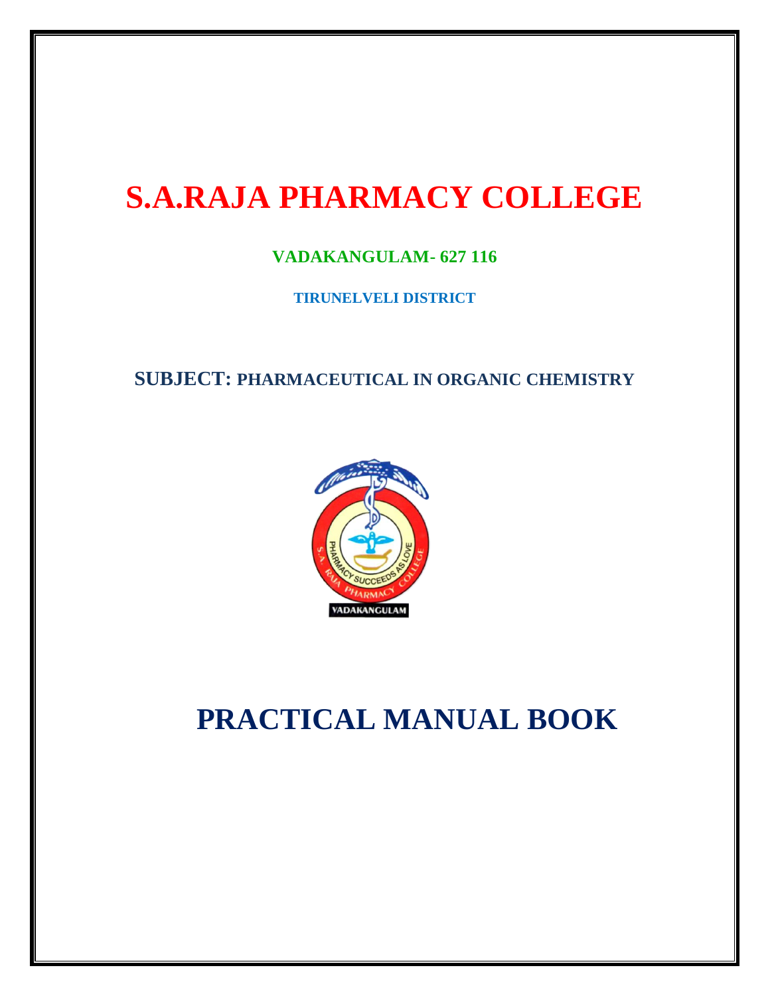# **S.A.RAJA PHARMACY COLLEGE**

### **VADAKANGULAM- 627 116**

**TIRUNELVELI DISTRICT**

**SUBJECT: PHARMACEUTICAL IN ORGANIC CHEMISTRY**



## **PRACTICAL MANUAL BOOK**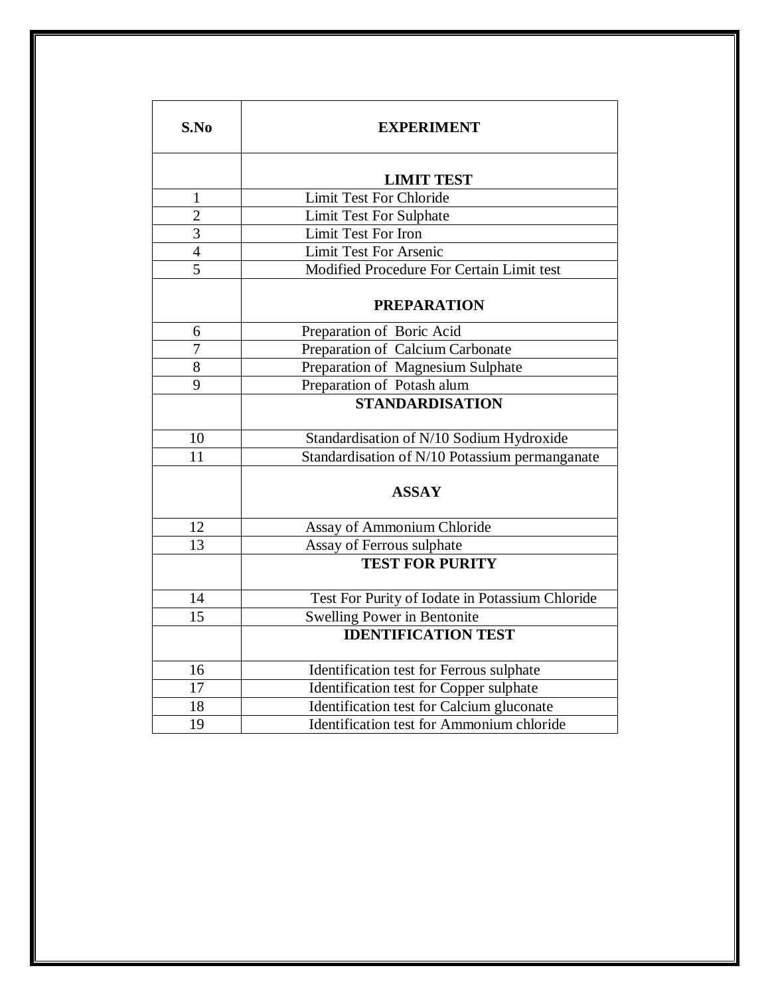| S.No            | <b>EXPERIMENT</b>                               |
|-----------------|-------------------------------------------------|
|                 | <b>LIMIT TEST</b>                               |
| 1               | <b>Limit Test For Chloride</b>                  |
| $\overline{2}$  | <b>Limit Test For Sulphate</b>                  |
| $\overline{3}$  | Limit Test For Iron                             |
| $\overline{4}$  | <b>Limit Test For Arsenic</b>                   |
| $\overline{5}$  | Modified Procedure For Certain Limit test       |
|                 | <b>PREPARATION</b>                              |
| 6               | Preparation of Boric Acid                       |
| 7               | Preparation of Calcium Carbonate                |
| 8               | Preparation of Magnesium Sulphate               |
| 9               | Preparation of Potash alum                      |
|                 | <b>STANDARDISATION</b>                          |
| 10              | Standardisation of N/10 Sodium Hydroxide        |
| 11              | Standardisation of N/10 Potassium permanganate  |
|                 | <b>ASSAY</b>                                    |
| 12              | Assay of Ammonium Chloride                      |
| $\overline{13}$ | Assay of Ferrous sulphate                       |
|                 | <b>TEST FOR PURITY</b>                          |
| 14              | Test For Purity of Iodate in Potassium Chloride |
| 15              | <b>Swelling Power in Bentonite</b>              |
|                 | <b>IDENTIFICATION TEST</b>                      |
| 16              | Identification test for Ferrous sulphate        |
| 17              | Identification test for Copper sulphate         |
| 18              | Identification test for Calcium gluconate       |
| 19              | Identification test for Ammonium chloride       |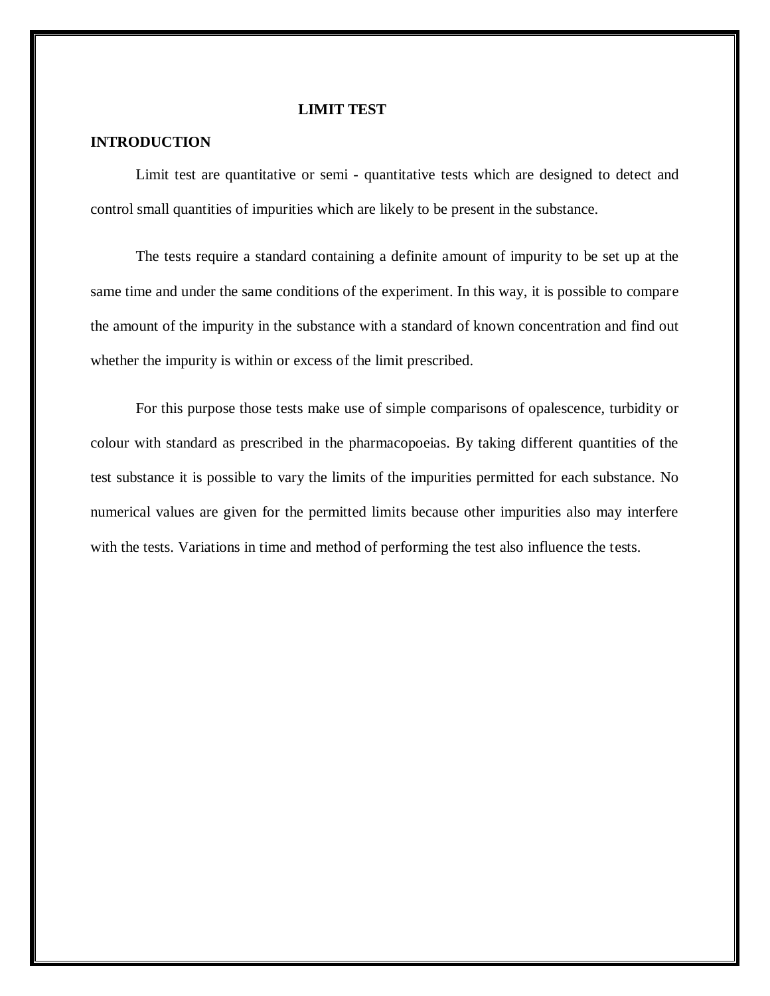#### **LIMIT TEST**

#### **INTRODUCTION**

Limit test are quantitative or semi - quantitative tests which are designed to detect and control small quantities of impurities which are likely to be present in the substance.

The tests require a standard containing a definite amount of impurity to be set up at the same time and under the same conditions of the experiment. In this way, it is possible to compare the amount of the impurity in the substance with a standard of known concentration and find out whether the impurity is within or excess of the limit prescribed.

For this purpose those tests make use of simple comparisons of opalescence, turbidity or colour with standard as prescribed in the pharmacopoeias. By taking different quantities of the test substance it is possible to vary the limits of the impurities permitted for each substance. No numerical values are given for the permitted limits because other impurities also may interfere with the tests. Variations in time and method of performing the test also influence the tests.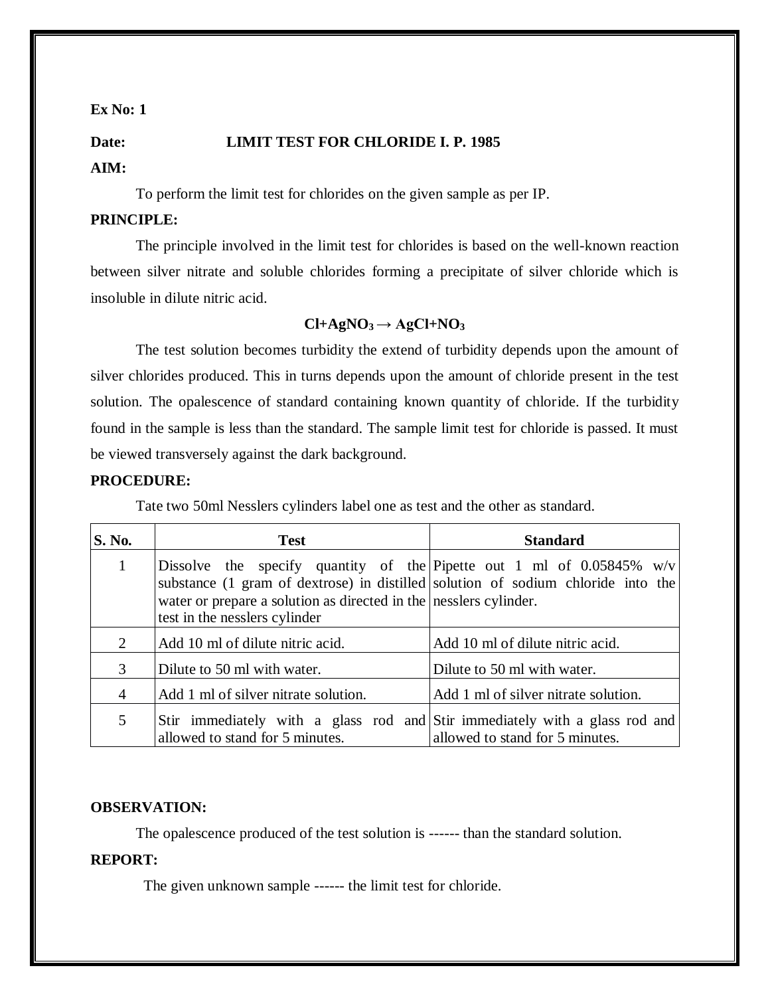### **Date: LIMIT TEST FOR CHLORIDE I. P. 1985**

#### **AIM:**

To perform the limit test for chlorides on the given sample as per IP.

#### **PRINCIPLE:**

The principle involved in the limit test for chlorides is based on the well-known reaction between silver nitrate and soluble chlorides forming a precipitate of silver chloride which is insoluble in dilute nitric acid.

### $Cl + AgNO<sub>3</sub> \rightarrow AgCl + NO<sub>3</sub>$

The test solution becomes turbidity the extend of turbidity depends upon the amount of silver chlorides produced. This in turns depends upon the amount of chloride present in the test solution. The opalescence of standard containing known quantity of chloride. If the turbidity found in the sample is less than the standard. The sample limit test for chloride is passed. It must be viewed transversely against the dark background.

#### **PROCEDURE:**

Tate two 50ml Nesslers cylinders label one as test and the other as standard.

| <b>S. No.</b>  | <b>Test</b>                                                                                                                                                                                                                                                        | <b>Standard</b>                      |  |
|----------------|--------------------------------------------------------------------------------------------------------------------------------------------------------------------------------------------------------------------------------------------------------------------|--------------------------------------|--|
|                | Dissolve the specify quantity of the Pipette out 1 ml of $0.05845\%$ w/v<br>substance (1 gram of dextrose) in distilled solution of sodium chloride into the<br>water or prepare a solution as directed in the nesslers cylinder.<br>test in the nesslers cylinder |                                      |  |
| 2              | Add 10 ml of dilute nitric acid.                                                                                                                                                                                                                                   | Add 10 ml of dilute nitric acid.     |  |
| 3              | Dilute to 50 ml with water.                                                                                                                                                                                                                                        | Dilute to 50 ml with water.          |  |
| $\overline{4}$ | Add 1 ml of silver nitrate solution.                                                                                                                                                                                                                               | Add 1 ml of silver nitrate solution. |  |
| 5              | Stir immediately with a glass rod and Stir immediately with a glass rod and<br>allowed to stand for 5 minutes.                                                                                                                                                     | allowed to stand for 5 minutes.      |  |

#### **OBSERVATION:**

The opalescence produced of the test solution is ------ than the standard solution.

#### **REPORT:**

The given unknown sample ------ the limit test for chloride.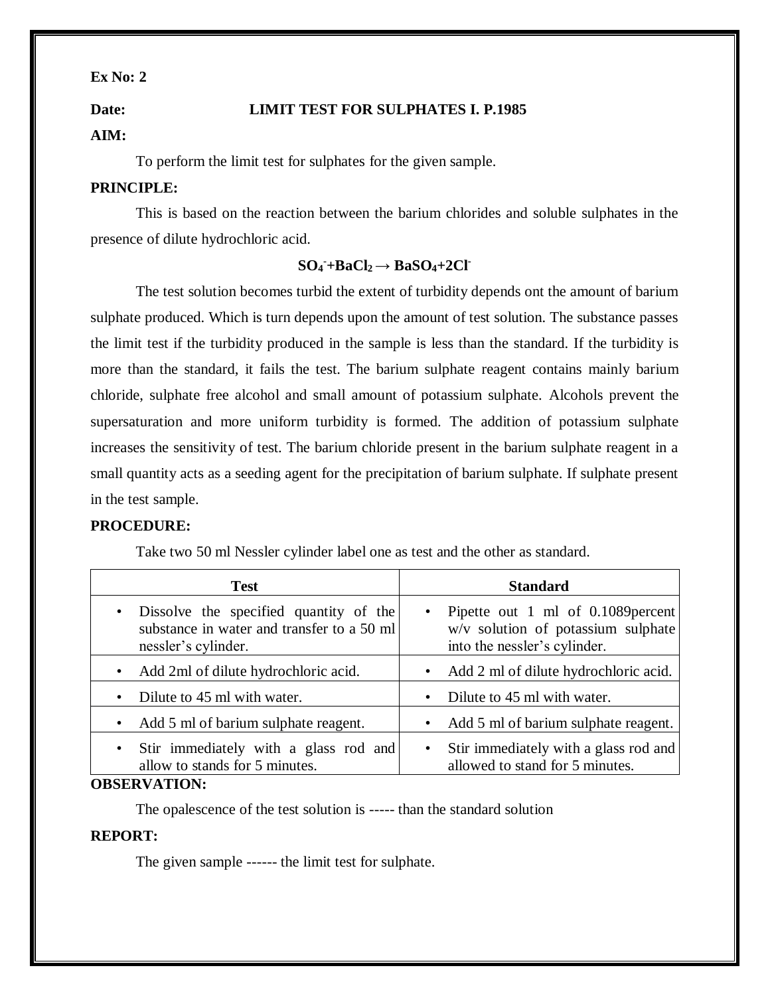### **Date: LIMIT TEST FOR SULPHATES I. P.1985**

#### **AIM:**

To perform the limit test for sulphates for the given sample.

#### **PRINCIPLE:**

This is based on the reaction between the barium chlorides and soluble sulphates in the presence of dilute hydrochloric acid.

### $SO_4$  +BaCl<sub>2</sub>  $\rightarrow$  BaSO<sub>4</sub>+2Cl<sup>+</sup>

The test solution becomes turbid the extent of turbidity depends ont the amount of barium sulphate produced. Which is turn depends upon the amount of test solution. The substance passes the limit test if the turbidity produced in the sample is less than the standard. If the turbidity is more than the standard, it fails the test. The barium sulphate reagent contains mainly barium chloride, sulphate free alcohol and small amount of potassium sulphate. Alcohols prevent the supersaturation and more uniform turbidity is formed. The addition of potassium sulphate increases the sensitivity of test. The barium chloride present in the barium sulphate reagent in a small quantity acts as a seeding agent for the precipitation of barium sulphate. If sulphate present in the test sample.

### **PROCEDURE:**

Take two 50 ml Nessler cylinder label one as test and the other as standard.

| <b>Test</b>                                                                                                              | <b>Standard</b>                                                                                            |
|--------------------------------------------------------------------------------------------------------------------------|------------------------------------------------------------------------------------------------------------|
| Dissolve the specified quantity of the<br>$\bullet$<br>substance in water and transfer to a 50 ml<br>nessler's cylinder. | • Pipette out 1 ml of 0.1089 percent<br>w/v solution of potassium sulphate<br>into the nessler's cylinder. |
| Add 2ml of dilute hydrochloric acid.<br>$\bullet$                                                                        | Add 2 ml of dilute hydrochloric acid.<br>$\bullet$                                                         |
| Dilute to 45 ml with water.<br>$\bullet$                                                                                 | Dilute to 45 ml with water.                                                                                |
| Add 5 ml of barium sulphate reagent.<br>$\bullet$                                                                        | Add 5 ml of barium sulphate reagent.<br>$\bullet$                                                          |
| Stir immediately with a glass rod and<br>$\bullet$<br>allow to stands for 5 minutes.                                     | • Stir immediately with a glass rod and<br>allowed to stand for 5 minutes.                                 |

#### **OBSERVATION:**

The opalescence of the test solution is ----- than the standard solution

#### **REPORT:**

The given sample ------ the limit test for sulphate.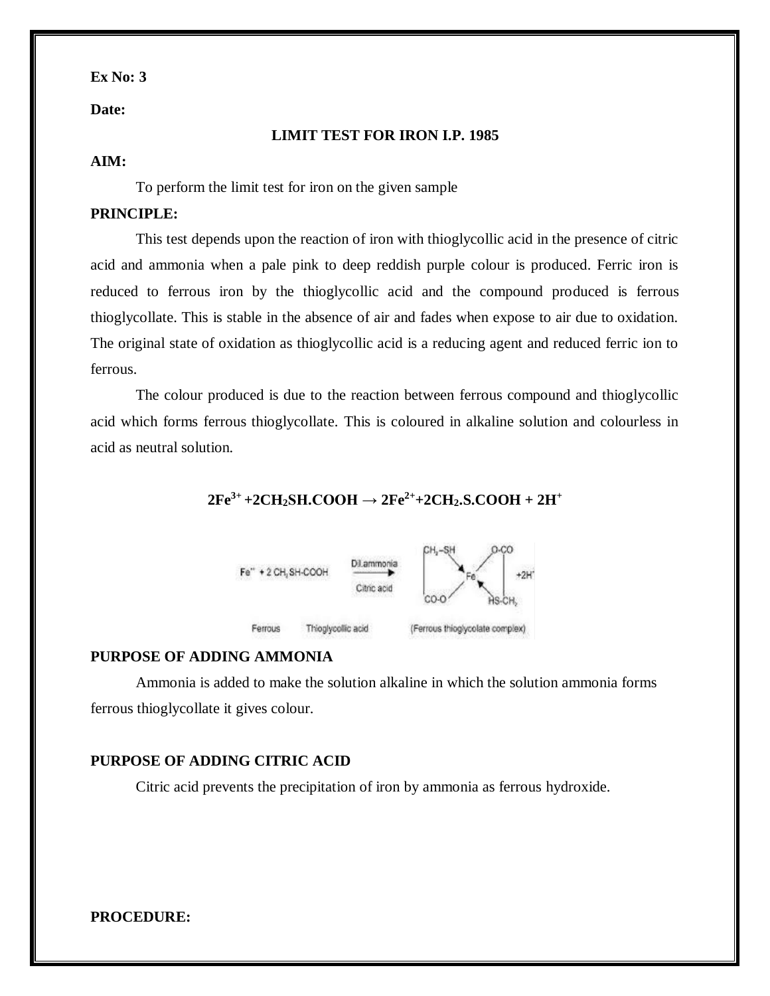#### **Date:**

#### **LIMIT TEST FOR IRON I.P. 1985**

#### **AIM:**

To perform the limit test for iron on the given sample

#### **PRINCIPLE:**

This test depends upon the reaction of iron with thioglycollic acid in the presence of citric acid and ammonia when a pale pink to deep reddish purple colour is produced. Ferric iron is reduced to ferrous iron by the thioglycollic acid and the compound produced is ferrous thioglycollate. This is stable in the absence of air and fades when expose to air due to oxidation. The original state of oxidation as thioglycollic acid is a reducing agent and reduced ferric ion to ferrous.

The colour produced is due to the reaction between ferrous compound and thioglycollic acid which forms ferrous thioglycollate. This is coloured in alkaline solution and colourless in acid as neutral solution.

### $2Fe^{3+} + 2CH_2SH$ **.COOH**  $\rightarrow 2Fe^{2+} + 2CH_2$ **.S.COOH** +  $2H^+$



#### **PURPOSE OF ADDING AMMONIA**

Ammonia is added to make the solution alkaline in which the solution ammonia forms ferrous thioglycollate it gives colour.

#### **PURPOSE OF ADDING CITRIC ACID**

Citric acid prevents the precipitation of iron by ammonia as ferrous hydroxide.

#### **PROCEDURE:**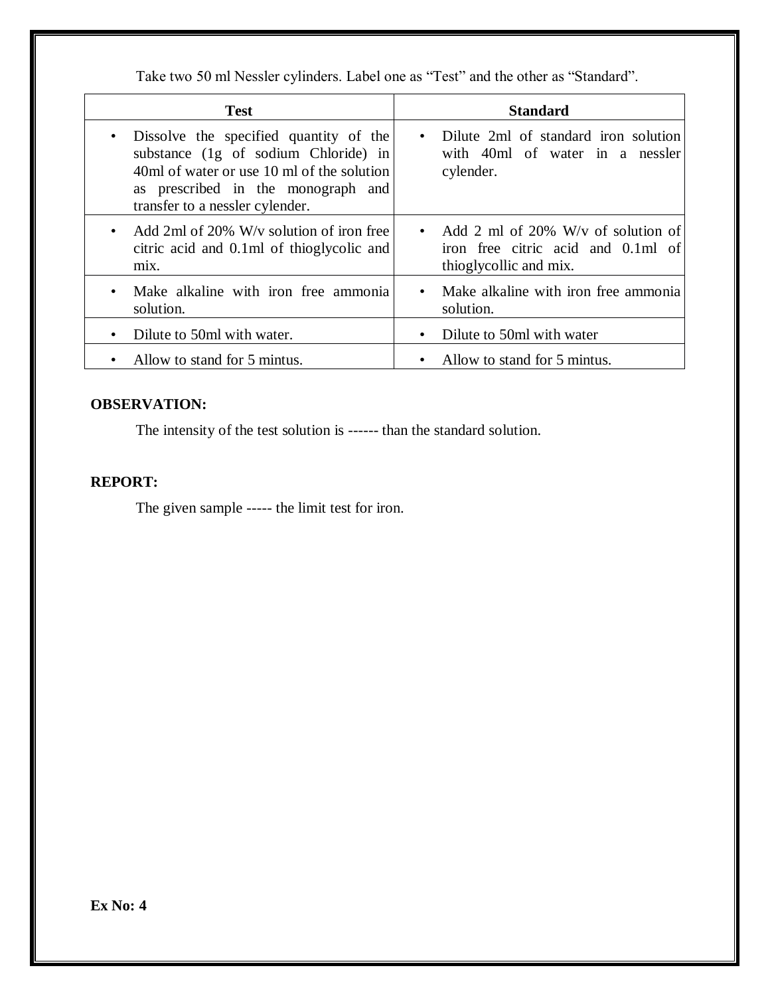Take two 50 ml Nessler cylinders. Label one as "Test" and the other as "Standard".

| <b>Test</b>                                                                                                                                                                                                        | <b>Standard</b>                                                                                    |
|--------------------------------------------------------------------------------------------------------------------------------------------------------------------------------------------------------------------|----------------------------------------------------------------------------------------------------|
| Dissolve the specified quantity of the<br>$\bullet$<br>substance (1g of sodium Chloride) in<br>40ml of water or use 10 ml of the solution<br>as prescribed in the monograph and<br>transfer to a nessler cylender. | Dilute 2ml of standard iron solution<br>with 40ml of water in a nessler<br>cylender.               |
| Add 2ml of 20% W/y solution of iron free<br>$\bullet$<br>citric acid and 0.1ml of thioglycolic and<br>mix.                                                                                                         | Add 2 ml of 20% W/v of solution of<br>iron free citric acid and 0.1ml of<br>thioglycollic and mix. |
| Make alkaline with iron free ammonia<br>$\bullet$<br>solution.                                                                                                                                                     | Make alkaline with iron free ammonia<br>solution.                                                  |
| Dilute to 50ml with water.                                                                                                                                                                                         | Dilute to 50ml with water                                                                          |
| Allow to stand for 5 mintus.                                                                                                                                                                                       | Allow to stand for 5 mintus.                                                                       |

### **OBSERVATION:**

The intensity of the test solution is ------ than the standard solution.

### **REPORT:**

The given sample ----- the limit test for iron.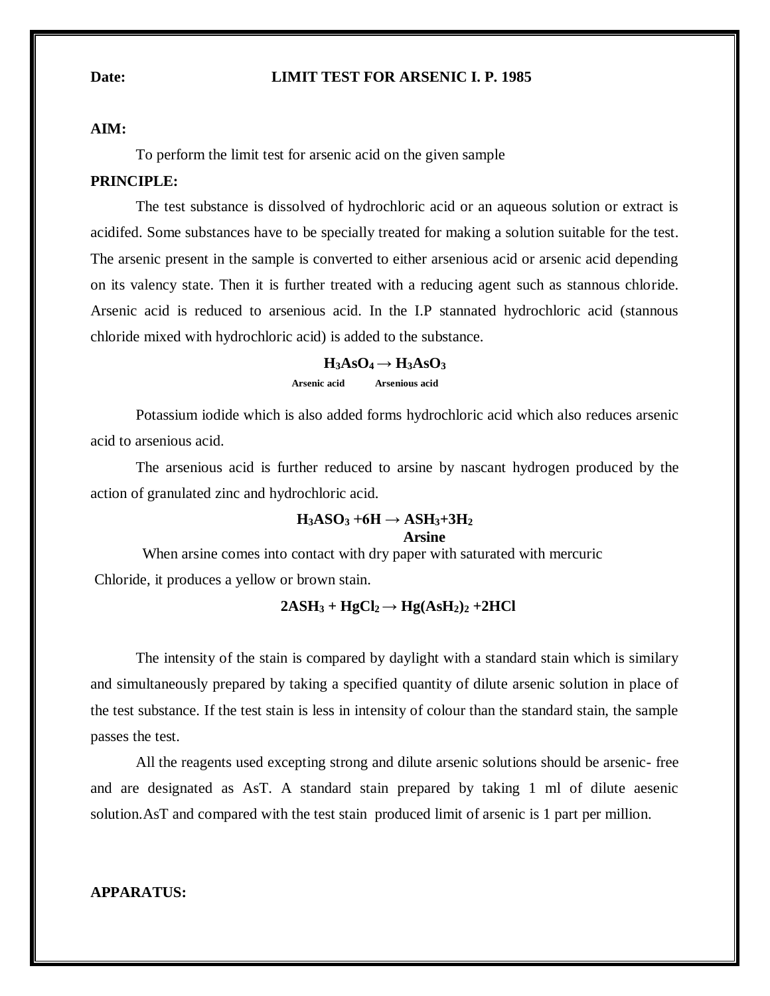#### **Date: LIMIT TEST FOR ARSENIC I. P. 1985**

#### **AIM:**

To perform the limit test for arsenic acid on the given sample

#### **PRINCIPLE:**

The test substance is dissolved of hydrochloric acid or an aqueous solution or extract is acidifed. Some substances have to be specially treated for making a solution suitable for the test. The arsenic present in the sample is converted to either arsenious acid or arsenic acid depending on its valency state. Then it is further treated with a reducing agent such as stannous chloride. Arsenic acid is reduced to arsenious acid. In the I.P stannated hydrochloric acid (stannous chloride mixed with hydrochloric acid) is added to the substance.

### $H_3AsO_4 \rightarrow H_3AsO_3$  **Arsenic acid Arsenious acid**

Potassium iodide which is also added forms hydrochloric acid which also reduces arsenic acid to arsenious acid.

The arsenious acid is further reduced to arsine by nascant hydrogen produced by the action of granulated zinc and hydrochloric acid.

#### $H_3ASO_3 + 6H \rightarrow ASH_3 + 3H_2$  **Arsine**

 When arsine comes into contact with dry paper with saturated with mercuric Chloride, it produces a yellow or brown stain.

#### $2ASH_3 + HgCl_2 \rightarrow Hg(AsH_2)_2 + 2HCl$

The intensity of the stain is compared by daylight with a standard stain which is similary and simultaneously prepared by taking a specified quantity of dilute arsenic solution in place of the test substance. If the test stain is less in intensity of colour than the standard stain, the sample passes the test.

All the reagents used excepting strong and dilute arsenic solutions should be arsenic- free and are designated as AsT. A standard stain prepared by taking 1 ml of dilute aesenic solution.AsT and compared with the test stain produced limit of arsenic is 1 part per million.

### **APPARATUS:**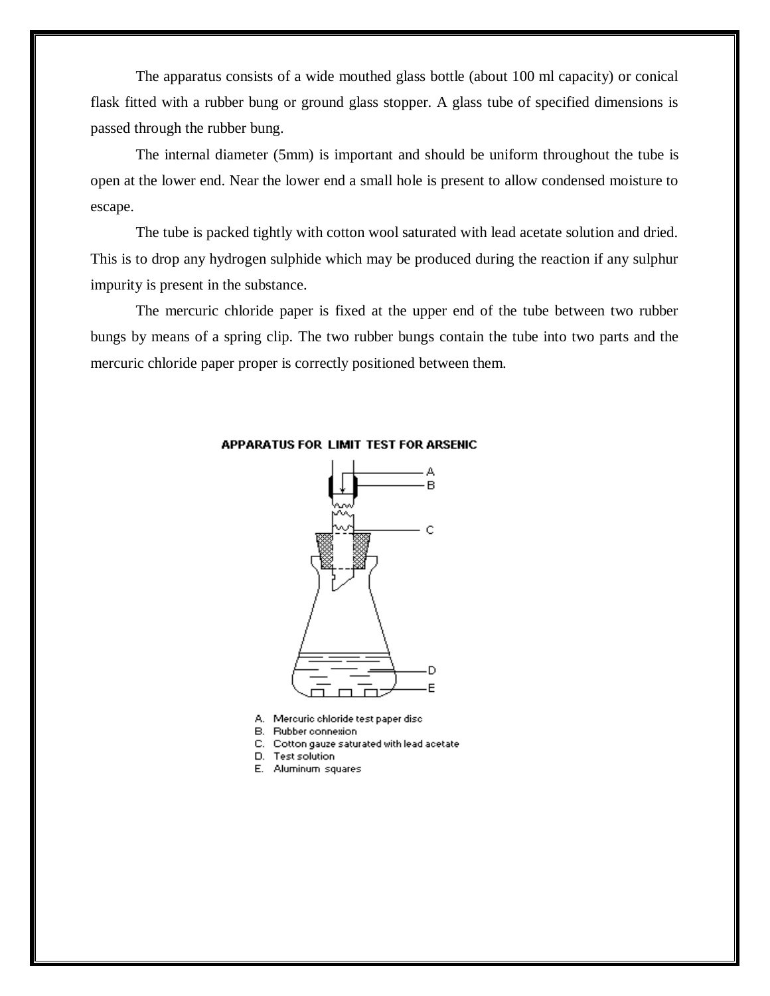The apparatus consists of a wide mouthed glass bottle (about 100 ml capacity) or conical flask fitted with a rubber bung or ground glass stopper. A glass tube of specified dimensions is passed through the rubber bung.

The internal diameter (5mm) is important and should be uniform throughout the tube is open at the lower end. Near the lower end a small hole is present to allow condensed moisture to escape.

The tube is packed tightly with cotton wool saturated with lead acetate solution and dried. This is to drop any hydrogen sulphide which may be produced during the reaction if any sulphur impurity is present in the substance.

The mercuric chloride paper is fixed at the upper end of the tube between two rubber bungs by means of a spring clip. The two rubber bungs contain the tube into two parts and the mercuric chloride paper proper is correctly positioned between them.



#### APPARATUS FOR LIMIT TEST FOR ARSENIC

- A. Mercuric chloride test paper disc
- B. Rubber connexion
- C. Cotton gauze saturated with lead acetate
- D. Test solution
- E. Aluminum squares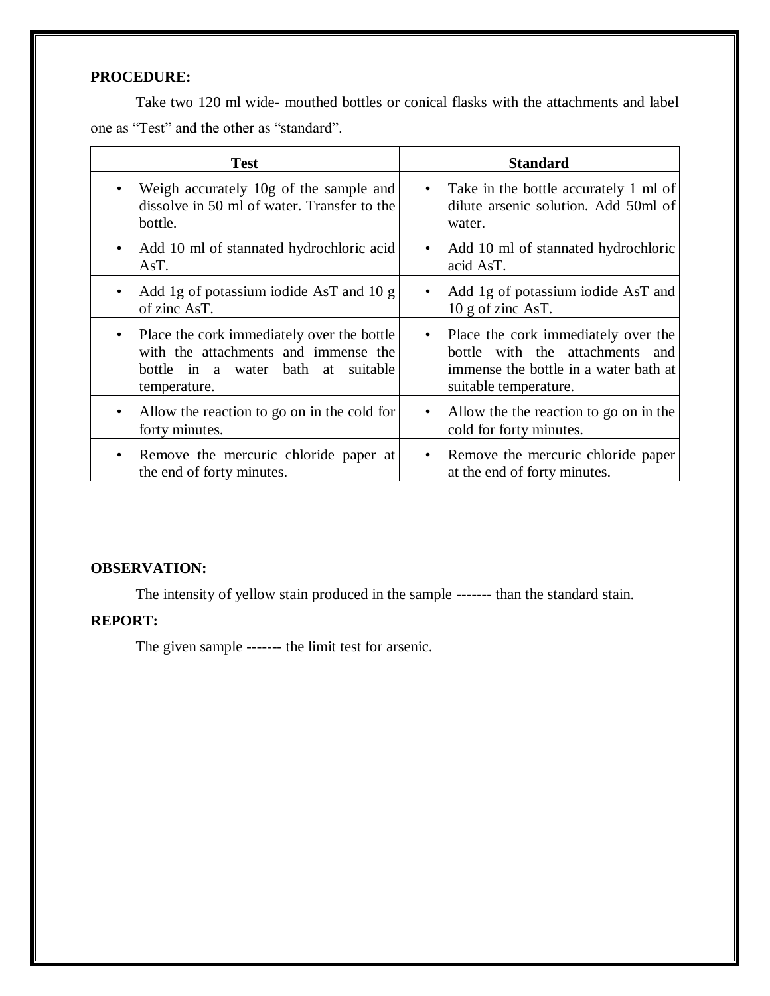### **PROCEDURE:**

Take two 120 ml wide- mouthed bottles or conical flasks with the attachments and label one as "Test" and the other as "standard".

| <b>Test</b>                                                  | <b>Standard</b>                                         |
|--------------------------------------------------------------|---------------------------------------------------------|
| Weigh accurately 10g of the sample and                       | Take in the bottle accurately 1 ml of                   |
| $\bullet$                                                    | $\bullet$                                               |
| dissolve in 50 ml of water. Transfer to the                  | dilute arsenic solution. Add 50ml of                    |
| bottle.                                                      | water.                                                  |
| Add 10 ml of stannated hydrochloric acid                     | Add 10 ml of stannated hydrochloric                     |
| $\bullet$                                                    | $\bullet$                                               |
| AsT.                                                         | acid AsT.                                               |
| Add 1g of potassium iodide AsT and 10 g<br>٠<br>of zinc AsT. | Add 1g of potassium iodide AsT and<br>10 g of zinc AsT. |
| • Place the cork immediately over the bottle                 | Place the cork immediately over the                     |
| with the attachments and immense the                         | $\bullet$                                               |
| bottle in a water bath at                                    | bottle with the attachments and                         |
| suitable                                                     | immense the bottle in a water bath at                   |
| temperature.                                                 | suitable temperature.                                   |
| Allow the reaction to go on in the cold for                  | Allow the the reaction to go on in the                  |
| ٠                                                            | ٠                                                       |
| forty minutes.                                               | cold for forty minutes.                                 |
| Remove the mercuric chloride paper at                        | Remove the mercuric chloride paper                      |
| $\bullet$                                                    | $\bullet$                                               |
| the end of forty minutes.                                    | at the end of forty minutes.                            |

#### **OBSERVATION:**

The intensity of yellow stain produced in the sample ------- than the standard stain.

### **REPORT:**

The given sample ------- the limit test for arsenic.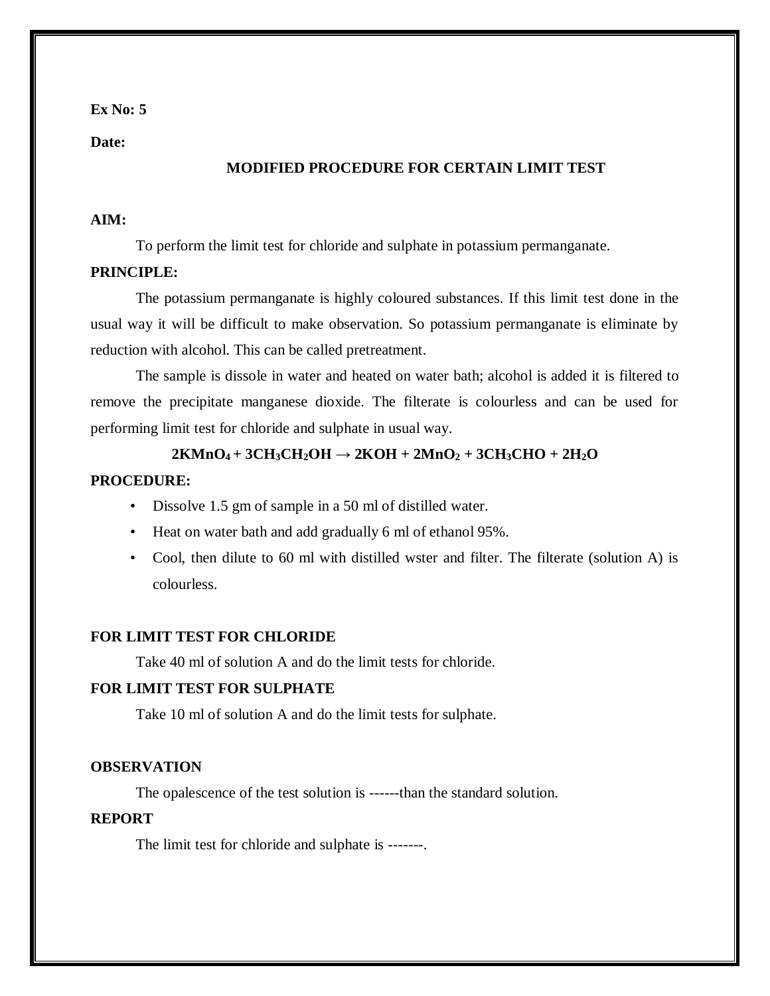**Date:**

#### **MODIFIED PROCEDURE FOR CERTAIN LIMIT TEST**

#### **AIM:**

To perform the limit test for chloride and sulphate in potassium permanganate.

#### **PRINCIPLE:**

The potassium permanganate is highly coloured substances. If this limit test done in the usual way it will be difficult to make observation. So potassium permanganate is eliminate by reduction with alcohol. This can be called pretreatment.

The sample is dissole in water and heated on water bath; alcohol is added it is filtered to remove the precipitate manganese dioxide. The filterate is colourless and can be used for performing limit test for chloride and sulphate in usual way.

### $2KMnO_4 + 3CH_3CH_2OH \rightarrow 2KOH + 2MnO_2 + 3CH_3CHO + 2H_2O$

#### **PROCEDURE:**

- Dissolve 1.5 gm of sample in a 50 ml of distilled water.
- Heat on water bath and add gradually 6 ml of ethanol 95%.
- Cool, then dilute to 60 ml with distilled wster and filter. The filterate (solution A) is colourless.

#### **FOR LIMIT TEST FOR CHLORIDE**

Take 40 ml of solution A and do the limit tests for chloride.

#### **FOR LIMIT TEST FOR SULPHATE**

Take 10 ml of solution A and do the limit tests for sulphate.

#### **OBSERVATION**

The opalescence of the test solution is ------than the standard solution.

#### **REPORT**

The limit test for chloride and sulphate is -------.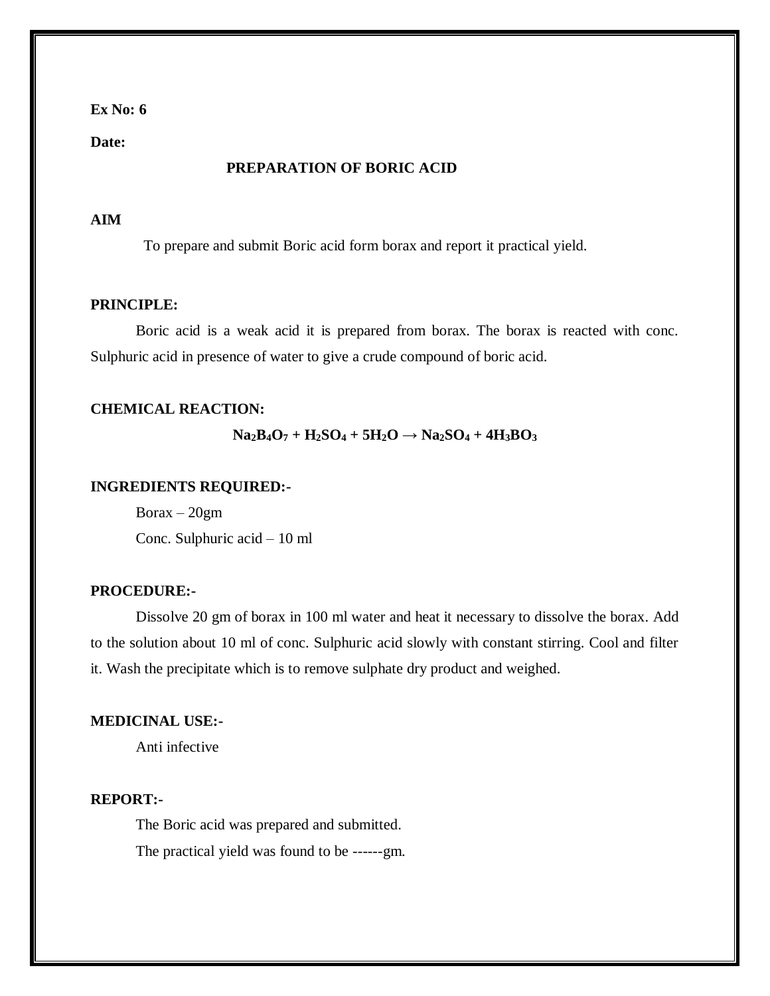**Date:**

#### **PREPARATION OF BORIC ACID**

#### **AIM**

To prepare and submit Boric acid form borax and report it practical yield.

#### **PRINCIPLE:**

Boric acid is a weak acid it is prepared from borax. The borax is reacted with conc. Sulphuric acid in presence of water to give a crude compound of boric acid.

#### **CHEMICAL REACTION:**

 $Na_2B_4O_7 + H_2SO_4 + 5H_2O \rightarrow Na_2SO_4 + 4H_3BO_3$ 

#### **INGREDIENTS REQUIRED:-**

 $Borax - 20gm$ Conc. Sulphuric acid – 10 ml

#### **PROCEDURE:-**

Dissolve 20 gm of borax in 100 ml water and heat it necessary to dissolve the borax. Add to the solution about 10 ml of conc. Sulphuric acid slowly with constant stirring. Cool and filter it. Wash the precipitate which is to remove sulphate dry product and weighed.

#### **MEDICINAL USE:-**

Anti infective

#### **REPORT:-**

The Boric acid was prepared and submitted. The practical yield was found to be ------gm.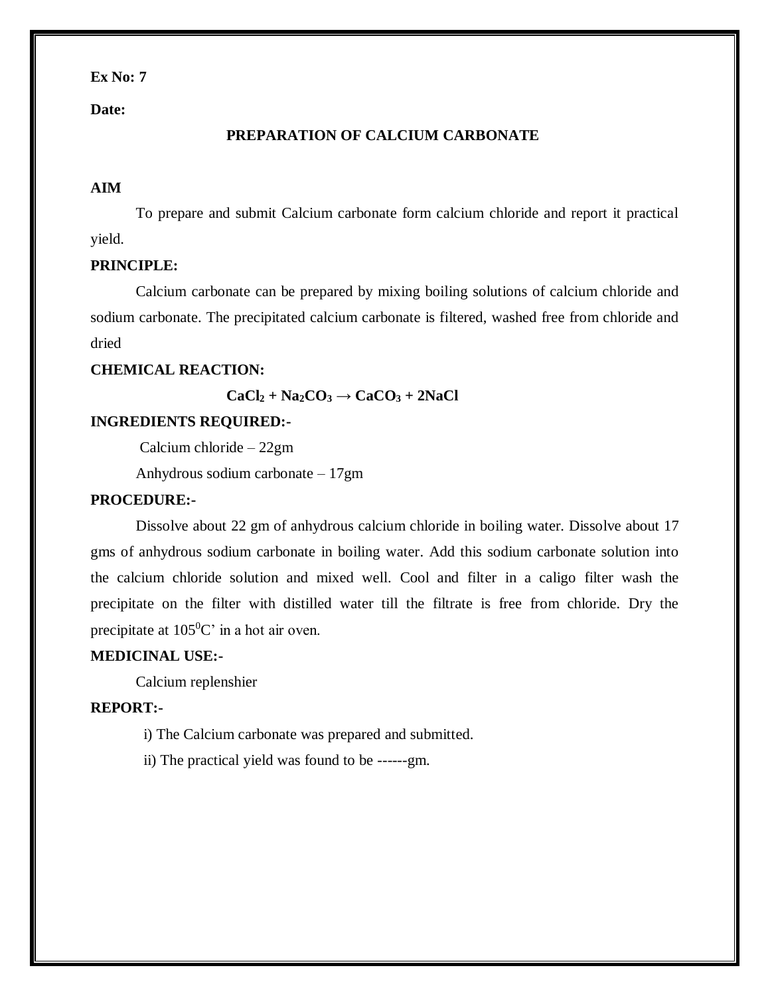**Date:**

#### **PREPARATION OF CALCIUM CARBONATE**

#### **AIM**

To prepare and submit Calcium carbonate form calcium chloride and report it practical yield.

#### **PRINCIPLE:**

Calcium carbonate can be prepared by mixing boiling solutions of calcium chloride and sodium carbonate. The precipitated calcium carbonate is filtered, washed free from chloride and dried

### **CHEMICAL REACTION:**

 $CaCl<sub>2</sub> + Na<sub>2</sub>CO<sub>3</sub> \rightarrow CaCO<sub>3</sub> + 2NaCl$ 

#### **INGREDIENTS REQUIRED:-**

Calcium chloride – 22gm

Anhydrous sodium carbonate – 17gm

#### **PROCEDURE:-**

Dissolve about 22 gm of anhydrous calcium chloride in boiling water. Dissolve about 17 gms of anhydrous sodium carbonate in boiling water. Add this sodium carbonate solution into the calcium chloride solution and mixed well. Cool and filter in a caligo filter wash the precipitate on the filter with distilled water till the filtrate is free from chloride. Dry the precipitate at  $105^{\circ}$ C' in a hot air oven.

#### **MEDICINAL USE:-**

Calcium replenshier

#### **REPORT:-**

- i) The Calcium carbonate was prepared and submitted.
- ii) The practical yield was found to be ------gm.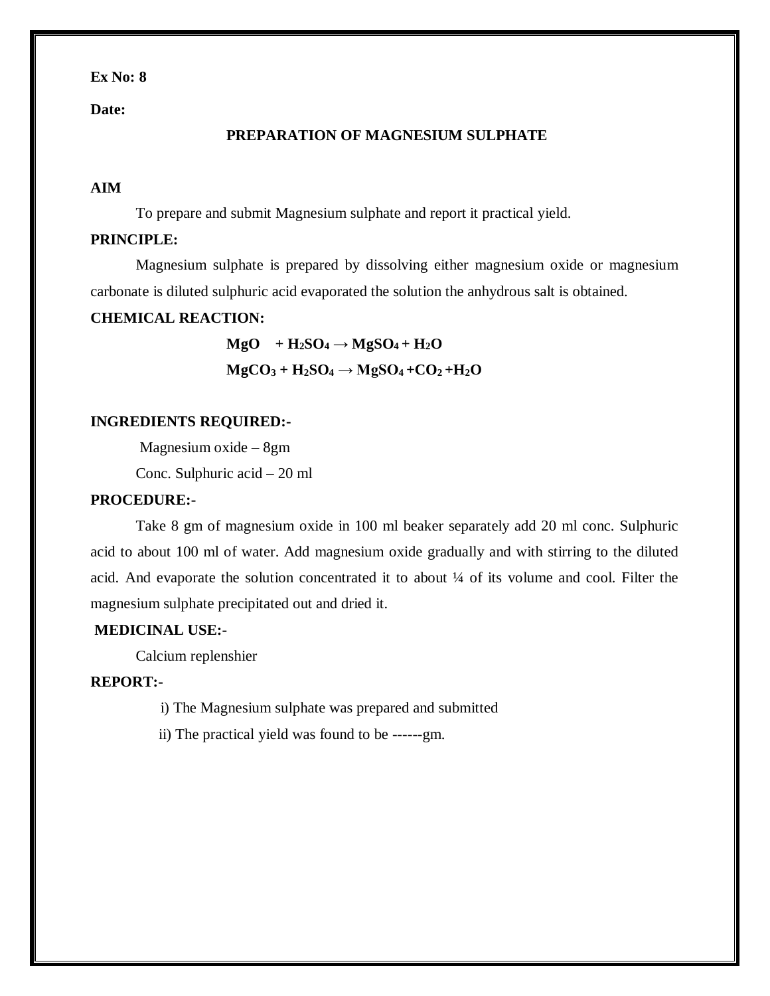**Date:**

#### **PREPARATION OF MAGNESIUM SULPHATE**

#### **AIM**

To prepare and submit Magnesium sulphate and report it practical yield.

#### **PRINCIPLE:**

Magnesium sulphate is prepared by dissolving either magnesium oxide or magnesium carbonate is diluted sulphuric acid evaporated the solution the anhydrous salt is obtained.

#### **CHEMICAL REACTION:**

 $MgO$  +  $H_2SO_4 \rightarrow MgSO_4 + H_2O$  $MgCO_3 + H_2SO_4 \rightarrow MgSO_4 + CO_2 + H_2O$ 

#### **INGREDIENTS REQUIRED:-**

Magnesium oxide – 8gm

Conc. Sulphuric acid – 20 ml

#### **PROCEDURE:-**

Take 8 gm of magnesium oxide in 100 ml beaker separately add 20 ml conc. Sulphuric acid to about 100 ml of water. Add magnesium oxide gradually and with stirring to the diluted acid. And evaporate the solution concentrated it to about ¼ of its volume and cool. Filter the magnesium sulphate precipitated out and dried it.

#### **MEDICINAL USE:-**

Calcium replenshier

#### **REPORT:-**

- i) The Magnesium sulphate was prepared and submitted
- ii) The practical yield was found to be ------gm.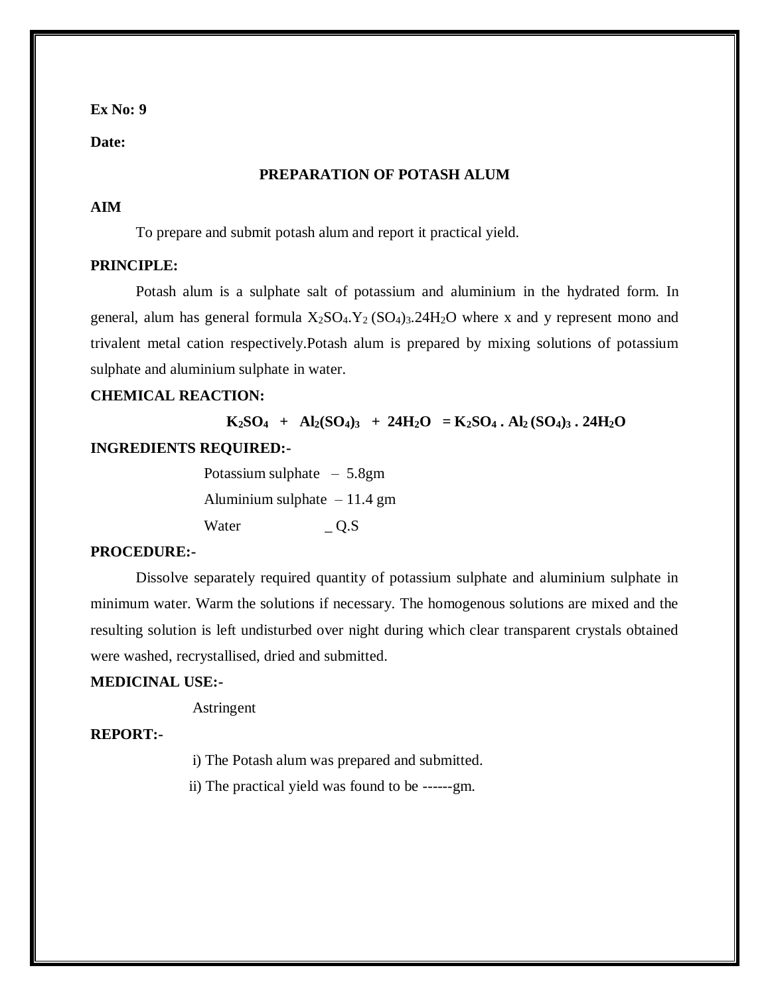**Date:**

#### **PREPARATION OF POTASH ALUM**

#### **AIM**

To prepare and submit potash alum and report it practical yield.

#### **PRINCIPLE:**

Potash alum is a sulphate salt of potassium and aluminium in the hydrated form. In general, alum has general formula  $X_2SO_4$ .  $Y_2(SO_4)$ <sub>3</sub>.  $24H_2O$  where x and y represent mono and trivalent metal cation respectively.Potash alum is prepared by mixing solutions of potassium sulphate and aluminium sulphate in water.

#### **CHEMICAL REACTION:**

 $K_2SO_4 + Al_2(SO_4)$ <sub>3</sub> + 24H<sub>2</sub>O =  $K_2SO_4$ . Al<sub>2</sub>(SO<sub>4</sub>)<sub>3</sub>. 24H<sub>2</sub>O

#### **INGREDIENTS REQUIRED:-**

 Potassium sulphate – 5.8gm Aluminium sulphate  $-11.4$  gm Water \_ Q.S

#### **PROCEDURE:-**

Dissolve separately required quantity of potassium sulphate and aluminium sulphate in minimum water. Warm the solutions if necessary. The homogenous solutions are mixed and the resulting solution is left undisturbed over night during which clear transparent crystals obtained were washed, recrystallised, dried and submitted.

#### **MEDICINAL USE:-**

Astringent

#### **REPORT:-**

i) The Potash alum was prepared and submitted.

ii) The practical yield was found to be ------gm.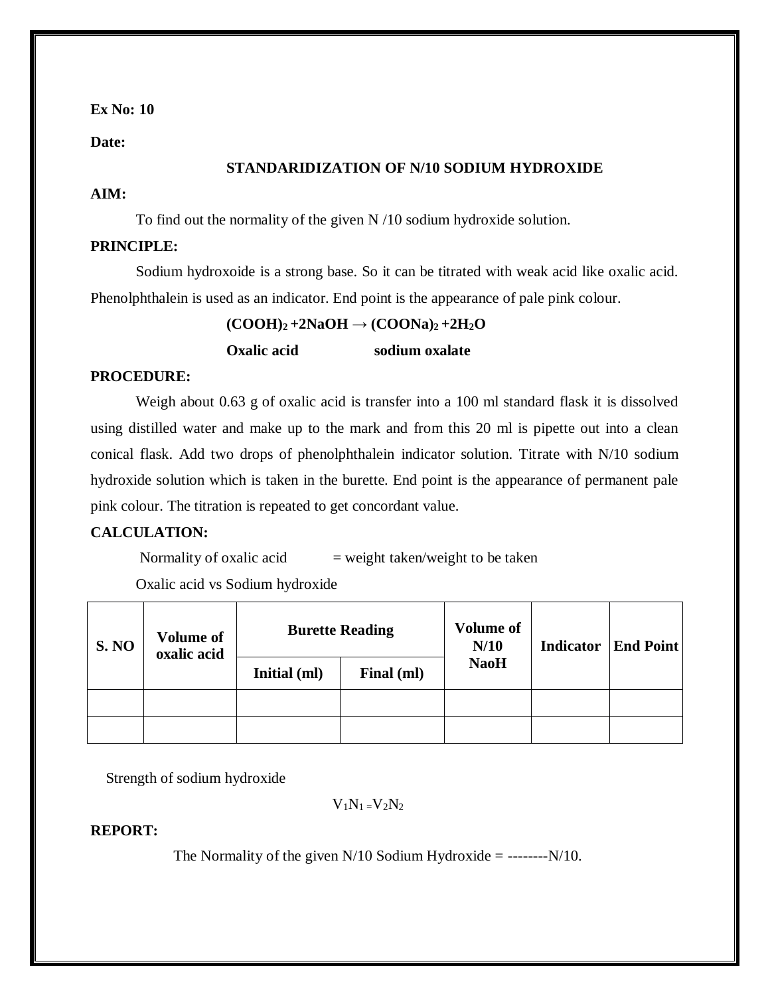**Date:**

#### **STANDARIDIZATION OF N/10 SODIUM HYDROXIDE**

#### **AIM:**

To find out the normality of the given N /10 sodium hydroxide solution.

### **PRINCIPLE:**

Sodium hydroxoide is a strong base. So it can be titrated with weak acid like oxalic acid. Phenolphthalein is used as an indicator. End point is the appearance of pale pink colour.

 $(COOH)_2 + 2NaOH \rightarrow (COONa)_2 + 2H_2O$ 

**Oxalic acid sodium oxalate**

#### **PROCEDURE:**

Weigh about 0.63 g of oxalic acid is transfer into a 100 ml standard flask it is dissolved using distilled water and make up to the mark and from this 20 ml is pipette out into a clean conical flask. Add two drops of phenolphthalein indicator solution. Titrate with N/10 sodium hydroxide solution which is taken in the burette. End point is the appearance of permanent pale pink colour. The titration is repeated to get concordant value.

#### **CALCULATION:**

Normality of oxalic acid  $=$  weight taken/weight to be taken

Oxalic acid vs Sodium hydroxide

| <b>S. NO</b> | <b>Volume of</b><br>oxalic acid | <b>Burette Reading</b> |            | <b>Volume of</b><br>N/10 | <b>Indicator</b> | <b>End Point</b> |
|--------------|---------------------------------|------------------------|------------|--------------------------|------------------|------------------|
|              |                                 | Initial (ml)           | Final (ml) | <b>NaoH</b>              |                  |                  |
|              |                                 |                        |            |                          |                  |                  |
|              |                                 |                        |            |                          |                  |                  |

Strength of sodium hydroxide

 $V_1N_1 = V_2N_2$ 

#### **REPORT:**

The Normality of the given  $N/10$  Sodium Hydroxide = -------- $N/10$ .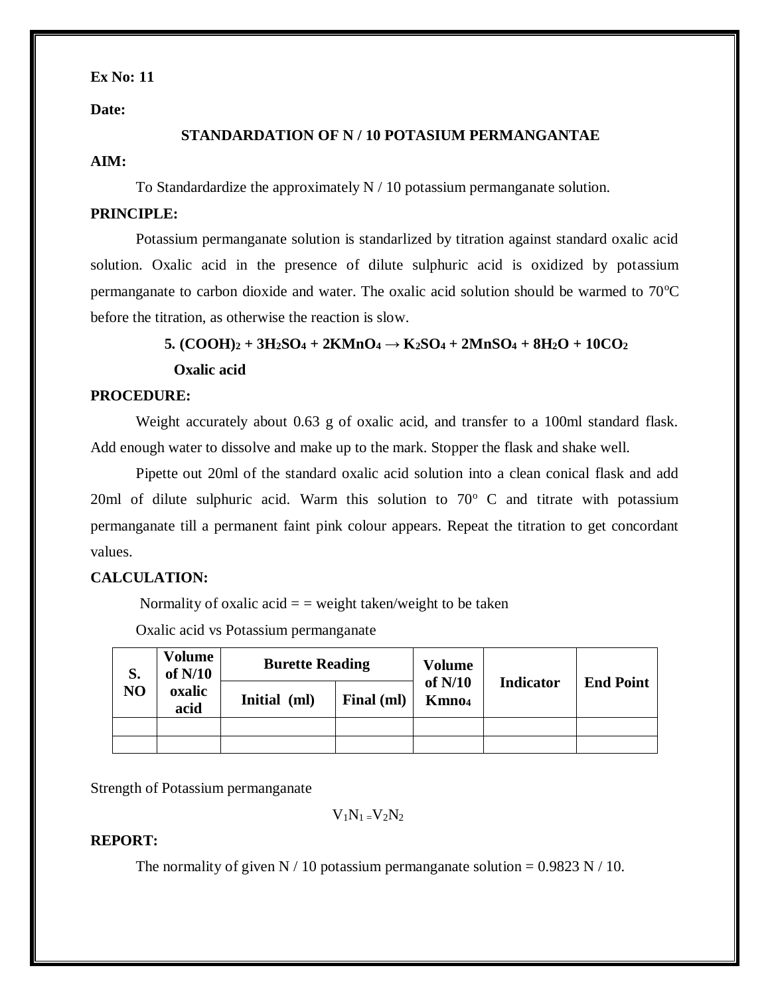**Date:**

#### **STANDARDATION OF N / 10 POTASIUM PERMANGANTAE**

#### **AIM:**

To Standardardize the approximately  $N / 10$  potassium permanganate solution.

#### **PRINCIPLE:**

Potassium permanganate solution is standarlized by titration against standard oxalic acid solution. Oxalic acid in the presence of dilute sulphuric acid is oxidized by potassium permanganate to carbon dioxide and water. The oxalic acid solution should be warmed to  $70^{\circ}$ C before the titration, as otherwise the reaction is slow.

### $5. (COOH)_2 + 3H_2SO_4 + 2KMnO_4 \rightarrow K_2SO_4 + 2MnSO_4 + 8H_2O + 10CO_2$

 **Oxalic acid** 

#### **PROCEDURE:**

Weight accurately about 0.63 g of oxalic acid, and transfer to a 100ml standard flask. Add enough water to dissolve and make up to the mark. Stopper the flask and shake well.

Pipette out 20ml of the standard oxalic acid solution into a clean conical flask and add 20ml of dilute sulphuric acid. Warm this solution to  $70^{\circ}$  C and titrate with potassium permanganate till a permanent faint pink colour appears. Repeat the titration to get concordant values.

### **CALCULATION:**

Normality of oxalic acid  $=$  = weight taken/weight to be taken

Oxalic acid vs Potassium permanganate

| S.<br>NO | <b>Volume</b><br>of $N/10$<br>oxalic<br>acid | <b>Burette Reading</b> |            | <b>Volume</b>                  |                  |                  |
|----------|----------------------------------------------|------------------------|------------|--------------------------------|------------------|------------------|
|          |                                              | <b>Initial</b><br>ml)  | Final (ml) | of $N/10$<br>Kmno <sub>4</sub> | <b>Indicator</b> | <b>End Point</b> |
|          |                                              |                        |            |                                |                  |                  |
|          |                                              |                        |            |                                |                  |                  |

Strength of Potassium permanganate

 $V_1N_1=V_2N_2$ 

### **REPORT:**

The normality of given N / 10 potassium permanganate solution =  $0.9823$  N / 10.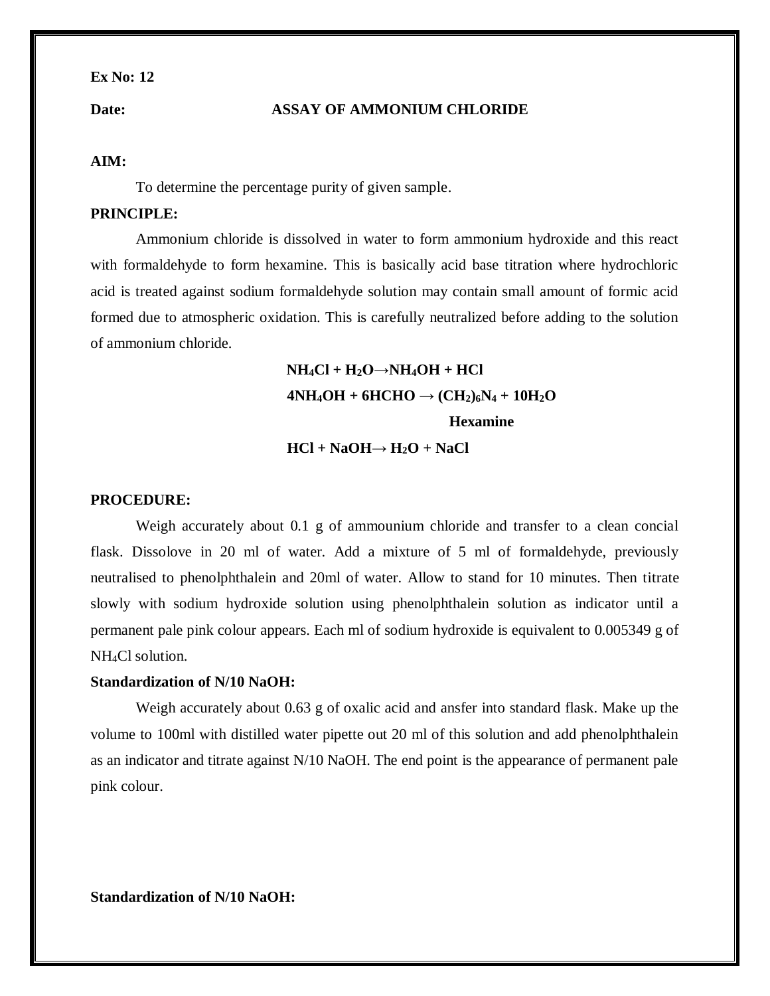#### **Date: ASSAY OF AMMONIUM CHLORIDE**

#### **AIM:**

To determine the percentage purity of given sample.

#### **PRINCIPLE:**

Ammonium chloride is dissolved in water to form ammonium hydroxide and this react with formaldehyde to form hexamine. This is basically acid base titration where hydrochloric acid is treated against sodium formaldehyde solution may contain small amount of formic acid formed due to atmospheric oxidation. This is carefully neutralized before adding to the solution of ammonium chloride.

## **NH4Cl + H2O→NH4OH + HCl**  $4NH_4OH + 6HCHO \rightarrow (CH_2)_6N_4 + 10H_2O$  **Hexamine**  $HCl + NaOH \rightarrow H_2O + NaCl$

#### **PROCEDURE:**

Weigh accurately about 0.1 g of ammounium chloride and transfer to a clean concial flask. Dissolove in 20 ml of water. Add a mixture of 5 ml of formaldehyde, previously neutralised to phenolphthalein and 20ml of water. Allow to stand for 10 minutes. Then titrate slowly with sodium hydroxide solution using phenolphthalein solution as indicator until a permanent pale pink colour appears. Each ml of sodium hydroxide is equivalent to 0.005349 g of NH<sub>4</sub>Cl solution.

#### **Standardization of N/10 NaOH:**

Weigh accurately about 0.63 g of oxalic acid and ansfer into standard flask. Make up the volume to 100ml with distilled water pipette out 20 ml of this solution and add phenolphthalein as an indicator and titrate against N/10 NaOH. The end point is the appearance of permanent pale pink colour.

**Standardization of N/10 NaOH:**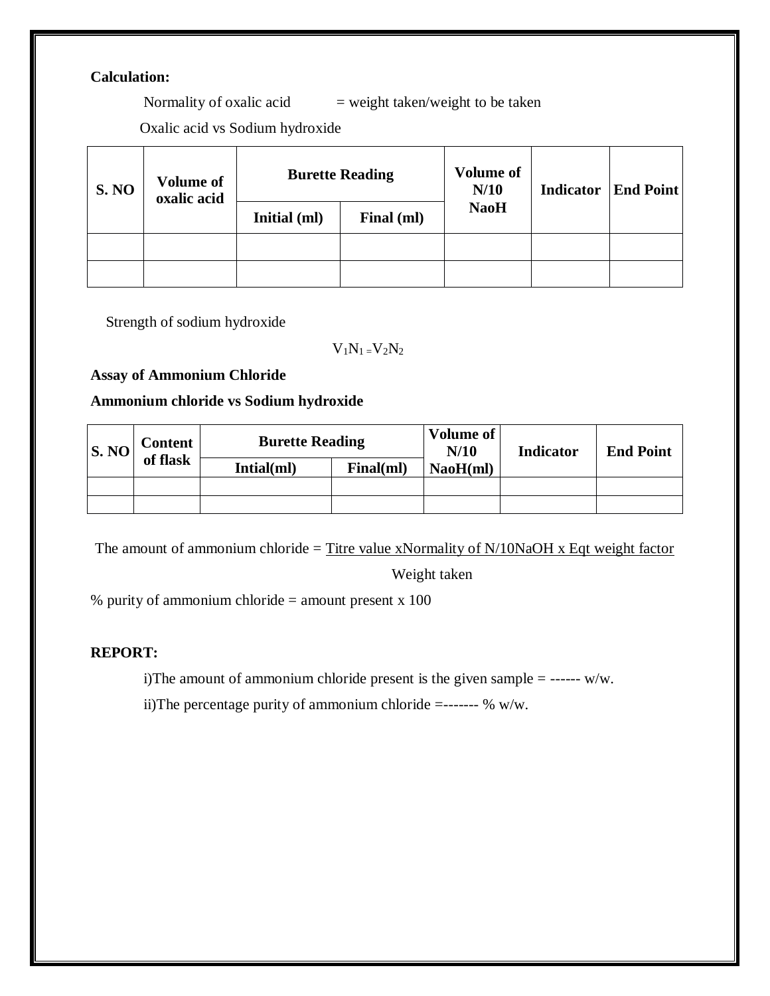### **Calculation:**

Normality of oxalic acid  $=$  weight taken/weight to be taken

Oxalic acid vs Sodium hydroxide

| <b>S. NO</b> | <b>Volume of</b><br>oxalic acid | <b>Burette Reading</b> |            | <b>Volume of</b><br>N/10 | <b>Indicator</b> | <b>End Point</b> |
|--------------|---------------------------------|------------------------|------------|--------------------------|------------------|------------------|
|              |                                 | Initial (ml)           | Final (ml) | <b>NaoH</b>              |                  |                  |
|              |                                 |                        |            |                          |                  |                  |
|              |                                 |                        |            |                          |                  |                  |

Strength of sodium hydroxide

### $V_1N_1 = V_2N_2$

**Assay of Ammonium Chloride**

### **Ammonium chloride vs Sodium hydroxide**

| S. NO | <b>Content</b> | <b>Burette Reading</b> |           | Volume of<br>N/10 | <b>Indicator</b> | <b>End Point</b> |
|-------|----------------|------------------------|-----------|-------------------|------------------|------------------|
|       | of flask       | Intial(ml)             | Final(ml) | NaoH(ml)          |                  |                  |
|       |                |                        |           |                   |                  |                  |
|       |                |                        |           |                   |                  |                  |

The amount of ammonium chloride = Titre value xNormality of  $N/10NaOH$  x Eqt weight factor

Weight taken

% purity of ammonium chloride  $=$  amount present x 100

### **REPORT:**

i)The amount of ammonium chloride present is the given sample = ------ w/w.

ii)The percentage purity of ammonium chloride =------- % w/w.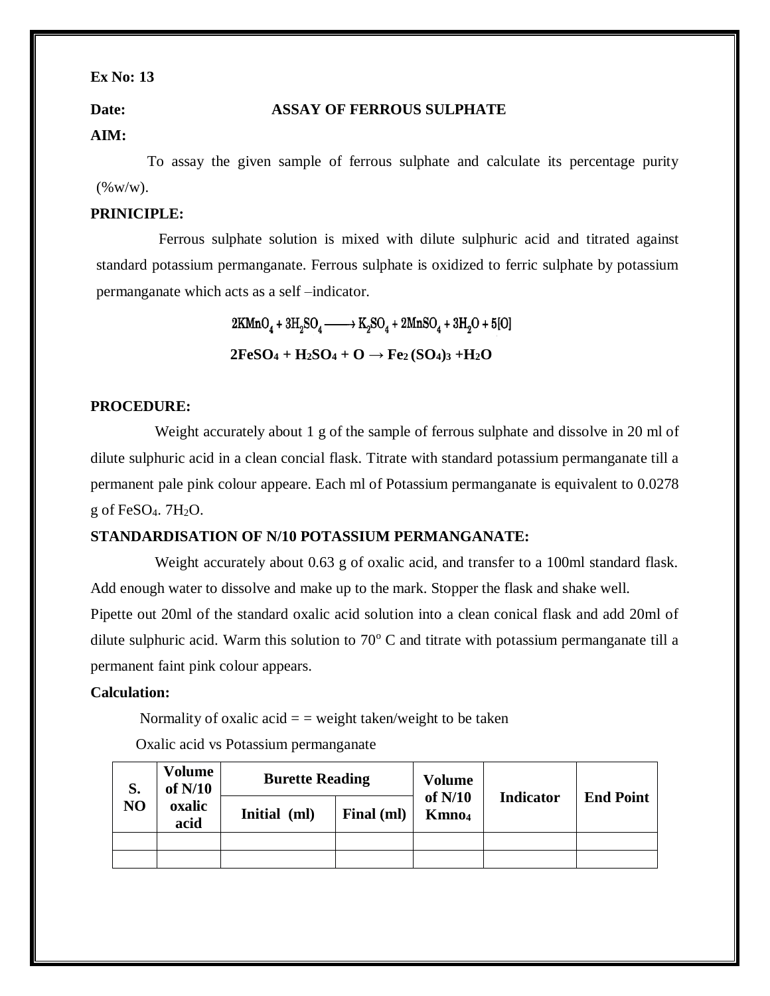#### **Date: ASSAY OF FERROUS SULPHATE**

### **AIM:**

 To assay the given sample of ferrous sulphate and calculate its percentage purity  $(\% w/w)$ .

#### **PRINICIPLE:**

 Ferrous sulphate solution is mixed with dilute sulphuric acid and titrated against standard potassium permanganate. Ferrous sulphate is oxidized to ferric sulphate by potassium permanganate which acts as a self –indicator.

> $2KMnO_4 + 3H_2SO_4 \longrightarrow K_2SO_4 + 2MnSO_4 + 3H_2O + 5[O]$  $2FeSO<sub>4</sub> + H<sub>2</sub>SO<sub>4</sub> + O \rightarrow Fe<sub>2</sub>(SO<sub>4</sub>)<sub>3</sub> + H<sub>2</sub>O$

#### **PROCEDURE:**

Weight accurately about 1 g of the sample of ferrous sulphate and dissolve in 20 ml of dilute sulphuric acid in a clean concial flask. Titrate with standard potassium permanganate till a permanent pale pink colour appeare. Each ml of Potassium permanganate is equivalent to 0.0278 g of FeSO<sub>4</sub>.  $7H<sub>2</sub>O$ .

#### **STANDARDISATION OF N/10 POTASSIUM PERMANGANATE:**

 Weight accurately about 0.63 g of oxalic acid, and transfer to a 100ml standard flask. Add enough water to dissolve and make up to the mark. Stopper the flask and shake well.

Pipette out 20ml of the standard oxalic acid solution into a clean conical flask and add 20ml of dilute sulphuric acid. Warm this solution to  $70^{\circ}$  C and titrate with potassium permanganate till a permanent faint pink colour appears.

#### **Calculation:**

Normality of oxalic acid  $=$  = weight taken/weight to be taken

Oxalic acid vs Potassium permanganate

| S.<br>NO | <b>Volume</b><br>of $N/10$<br>oxalic<br>acid | <b>Burette Reading</b> |            | <b>Volume</b>                  |                  |                  |
|----------|----------------------------------------------|------------------------|------------|--------------------------------|------------------|------------------|
|          |                                              | <b>Initial</b><br>(ml) | Final (ml) | of $N/10$<br>Kmno <sub>4</sub> | <b>Indicator</b> | <b>End Point</b> |
|          |                                              |                        |            |                                |                  |                  |
|          |                                              |                        |            |                                |                  |                  |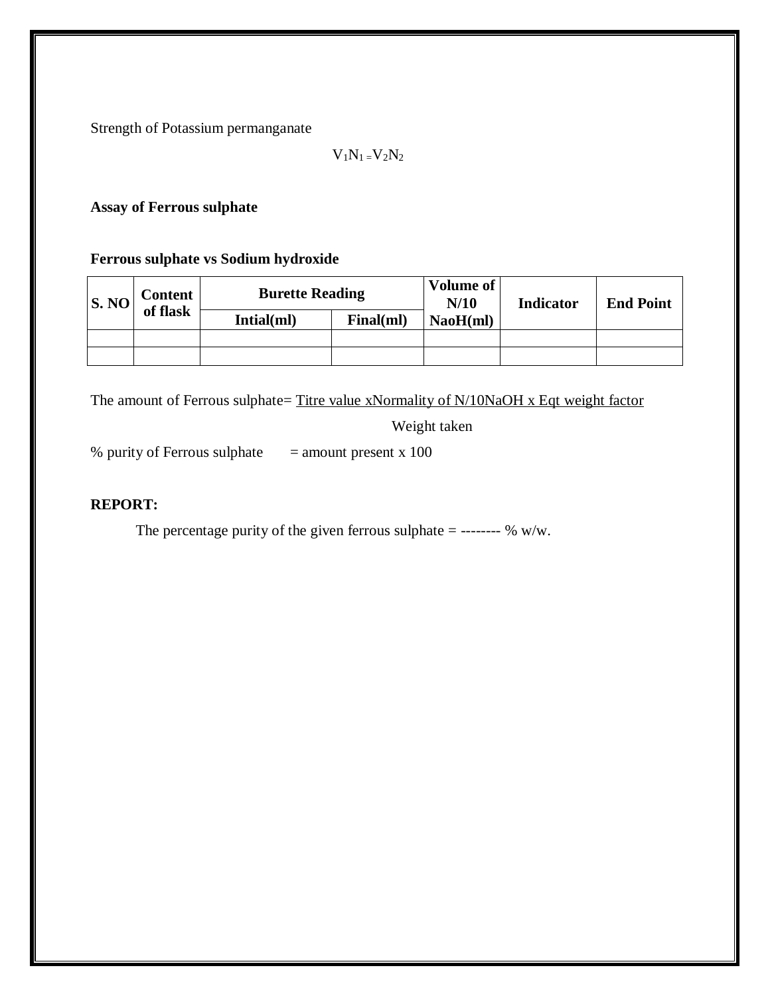Strength of Potassium permanganate

 $V_1N_1=V_2N_2$ 

**Assay of Ferrous sulphate**

**Ferrous sulphate vs Sodium hydroxide**

| S. NO | Content <sup>1</sup> | <b>Burette Reading</b> |           | <b>Volume of</b><br>N/10 | <b>Indicator</b> | <b>End Point</b> |
|-------|----------------------|------------------------|-----------|--------------------------|------------------|------------------|
|       | of flask             | Intial(ml)             | Final(ml) | NaoH(ml)                 |                  |                  |
|       |                      |                        |           |                          |                  |                  |
|       |                      |                        |           |                          |                  |                  |

The amount of Ferrous sulphate= Titre value xNormality of N/10NaOH x Eqt weight factor

Weight taken

% purity of Ferrous sulphate= amount present x 100

### **REPORT:**

The percentage purity of the given ferrous sulphate = -------- % w/w.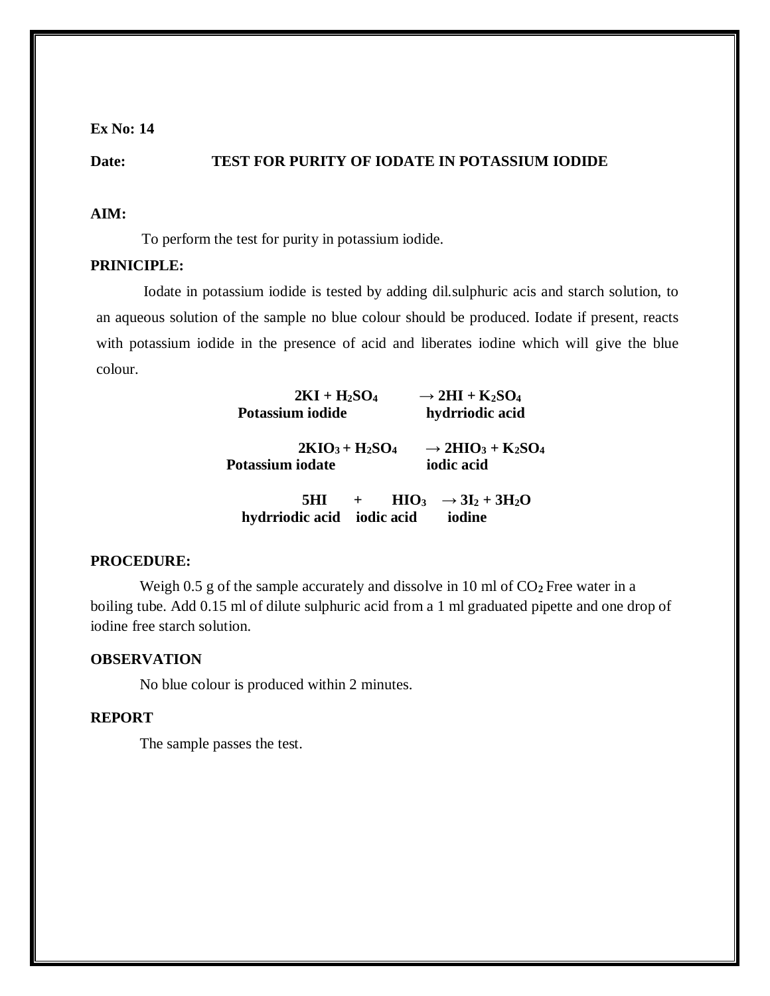#### **Date: TEST FOR PURITY OF IODATE IN POTASSIUM IODIDE**

#### **AIM:**

To perform the test for purity in potassium iodide.

### **PRINICIPLE:**

 Iodate in potassium iodide is tested by adding dil.sulphuric acis and starch solution, to an aqueous solution of the sample no blue colour should be produced. Iodate if present, reacts with potassium iodide in the presence of acid and liberates iodine which will give the blue colour.

| $2KI + H_2SO_4$<br>Potassium iodide | $\rightarrow$ 2HI + K <sub>2</sub> SO <sub>4</sub><br>hydrriodic acid          |
|-------------------------------------|--------------------------------------------------------------------------------|
| $2KIO3+H2SO4$<br>Potassium iodate   | $\rightarrow$ 2HIO <sub>3</sub> + K <sub>2</sub> SO <sub>4</sub><br>iodic acid |
| FTTT.                               | $\mathbf{A}$ $\mathbf{I}$ $\mathbf{A}$ $\mathbf{I}$ $\mathbf{I}$ $\mathbf{A}$  |

**5HI** + HIO<sub>3</sub>  $\rightarrow$  3I<sub>2</sub> + 3H<sub>2</sub>O  **hydrriodic acid iodic acid iodine**

#### **PROCEDURE:**

Weigh 0.5 g of the sample accurately and dissolve in 10 ml of  $CO<sub>2</sub>$  Free water in a boiling tube. Add 0.15 ml of dilute sulphuric acid from a 1 ml graduated pipette and one drop of iodine free starch solution.

#### **OBSERVATION**

No blue colour is produced within 2 minutes.

#### **REPORT**

The sample passes the test.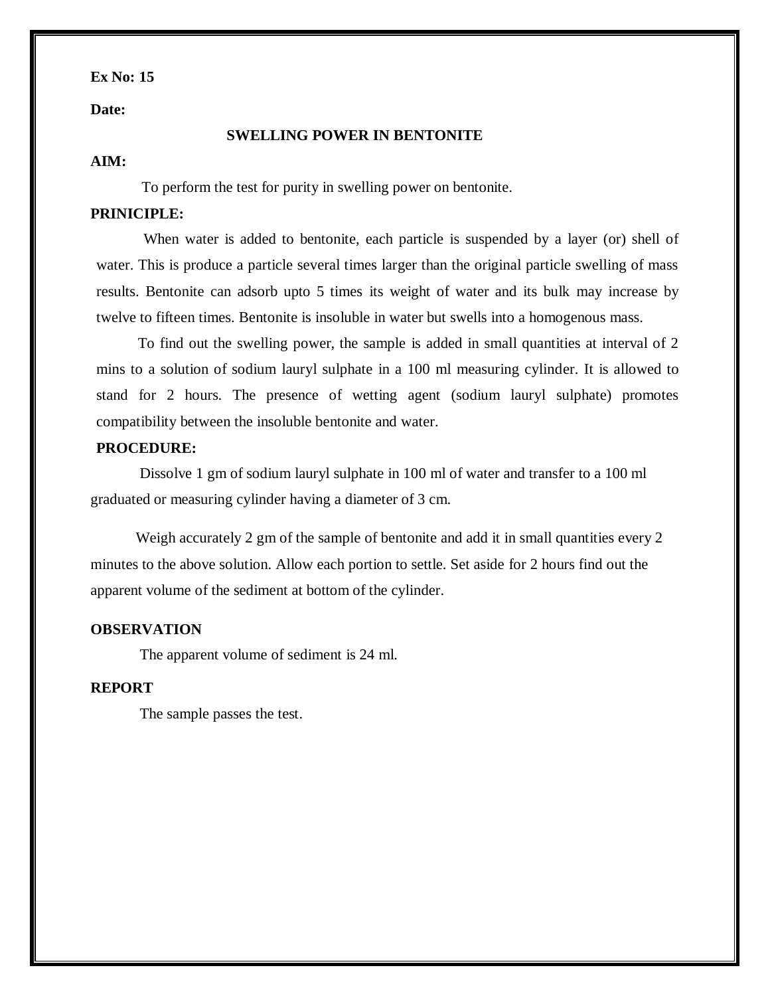**Date:** 

#### **SWELLING POWER IN BENTONITE**

#### **AIM:**

To perform the test for purity in swelling power on bentonite.

#### **PRINICIPLE:**

 When water is added to bentonite, each particle is suspended by a layer (or) shell of water. This is produce a particle several times larger than the original particle swelling of mass results. Bentonite can adsorb upto 5 times its weight of water and its bulk may increase by twelve to fifteen times. Bentonite is insoluble in water but swells into a homogenous mass.

 To find out the swelling power, the sample is added in small quantities at interval of 2 mins to a solution of sodium lauryl sulphate in a 100 ml measuring cylinder. It is allowed to stand for 2 hours. The presence of wetting agent (sodium lauryl sulphate) promotes compatibility between the insoluble bentonite and water.

#### **PROCEDURE:**

Dissolve 1 gm of sodium lauryl sulphate in 100 ml of water and transfer to a 100 ml graduated or measuring cylinder having a diameter of 3 cm.

Weigh accurately 2 gm of the sample of bentonite and add it in small quantities every 2 minutes to the above solution. Allow each portion to settle. Set aside for 2 hours find out the apparent volume of the sediment at bottom of the cylinder.

#### **OBSERVATION**

The apparent volume of sediment is 24 ml.

### **REPORT**

The sample passes the test.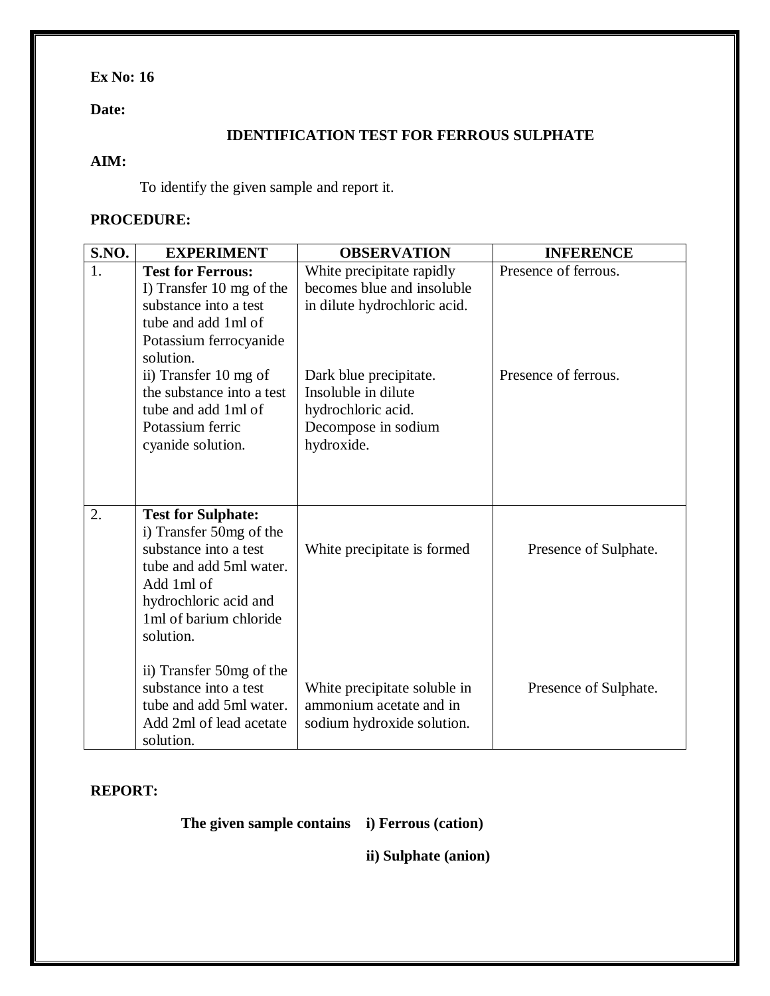### **Date:**

### **IDENTIFICATION TEST FOR FERROUS SULPHATE**

### **AIM:**

To identify the given sample and report it.

### **PROCEDURE:**

| S.NO. | <b>EXPERIMENT</b>                                                                                                                                                                                                                                                                                              | <b>OBSERVATION</b>                                                                                                                                                                                  | <b>INFERENCE</b>                               |
|-------|----------------------------------------------------------------------------------------------------------------------------------------------------------------------------------------------------------------------------------------------------------------------------------------------------------------|-----------------------------------------------------------------------------------------------------------------------------------------------------------------------------------------------------|------------------------------------------------|
| 1.    | <b>Test for Ferrous:</b><br>I) Transfer 10 mg of the<br>substance into a test<br>tube and add 1ml of<br>Potassium ferrocyanide<br>solution.<br>ii) Transfer 10 mg of<br>the substance into a test<br>tube and add 1ml of<br>Potassium ferric<br>cyanide solution.                                              | White precipitate rapidly<br>becomes blue and insoluble<br>in dilute hydrochloric acid.<br>Dark blue precipitate.<br>Insoluble in dilute<br>hydrochloric acid.<br>Decompose in sodium<br>hydroxide. | Presence of ferrous.<br>Presence of ferrous.   |
| 2.    | <b>Test for Sulphate:</b><br>i) Transfer 50mg of the<br>substance into a test<br>tube and add 5ml water.<br>Add 1ml of<br>hydrochloric acid and<br>1ml of barium chloride<br>solution.<br>ii) Transfer 50mg of the<br>substance into a test<br>tube and add 5ml water.<br>Add 2ml of lead acetate<br>solution. | White precipitate is formed.<br>White precipitate soluble in<br>ammonium acetate and in<br>sodium hydroxide solution.                                                                               | Presence of Sulphate.<br>Presence of Sulphate. |

### **REPORT:**

 **The given sample contains i) Ferrous (cation)**

**ii) Sulphate (anion)**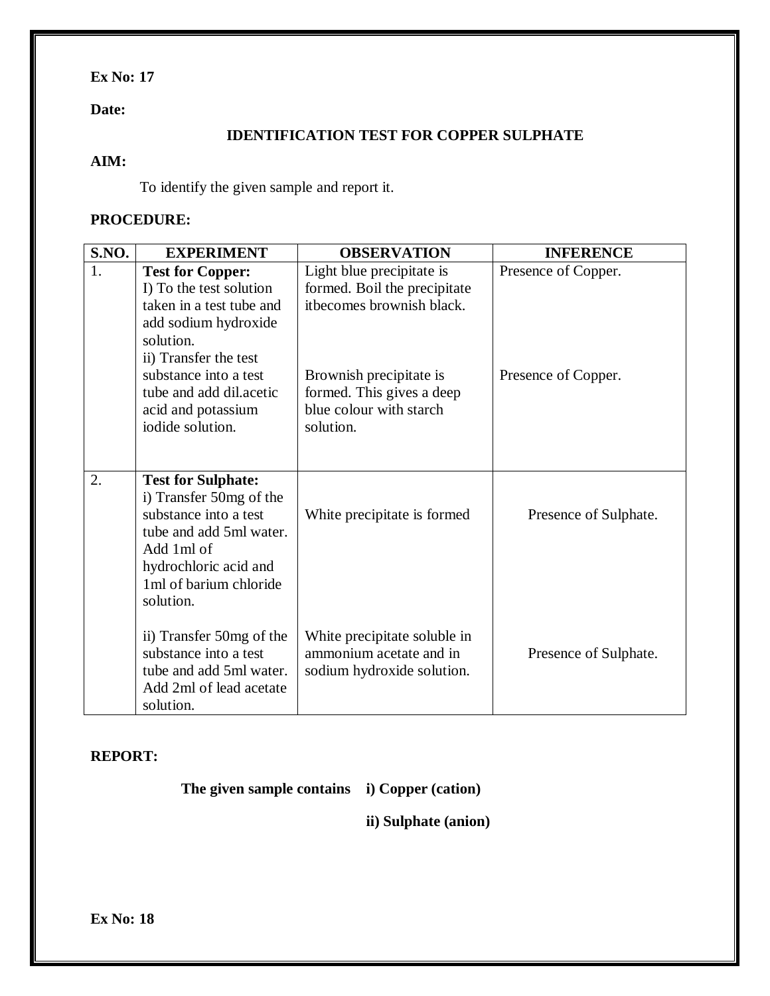### **Date:**

### **IDENTIFICATION TEST FOR COPPER SULPHATE**

### **AIM:**

To identify the given sample and report it.

### **PROCEDURE:**

| <b>S.NO.</b> | <b>EXPERIMENT</b>                                                                                                                                                                                                                          | <b>OBSERVATION</b>                                                                                                                                                                     | <b>INFERENCE</b>                           |
|--------------|--------------------------------------------------------------------------------------------------------------------------------------------------------------------------------------------------------------------------------------------|----------------------------------------------------------------------------------------------------------------------------------------------------------------------------------------|--------------------------------------------|
| 1.           | <b>Test for Copper:</b><br>I) To the test solution<br>taken in a test tube and<br>add sodium hydroxide<br>solution.<br>ii) Transfer the test<br>substance into a test<br>tube and add dil.acetic<br>acid and potassium<br>iodide solution. | Light blue precipitate is<br>formed. Boil the precipitate<br>itbecomes brownish black.<br>Brownish precipitate is<br>formed. This gives a deep<br>blue colour with starch<br>solution. | Presence of Copper.<br>Presence of Copper. |
| 2.           | <b>Test for Sulphate:</b><br>i) Transfer 50mg of the<br>substance into a test<br>tube and add 5ml water.<br>Add 1ml of<br>hydrochloric acid and<br>1ml of barium chloride<br>solution.                                                     | White precipitate is formed                                                                                                                                                            | Presence of Sulphate.                      |
|              | ii) Transfer 50mg of the<br>substance into a test<br>tube and add 5ml water.<br>Add 2ml of lead acetate<br>solution.                                                                                                                       | White precipitate soluble in<br>ammonium acetate and in<br>sodium hydroxide solution.                                                                                                  | Presence of Sulphate.                      |

### **REPORT:**

 **The given sample contains i) Copper (cation)**

**ii) Sulphate (anion)**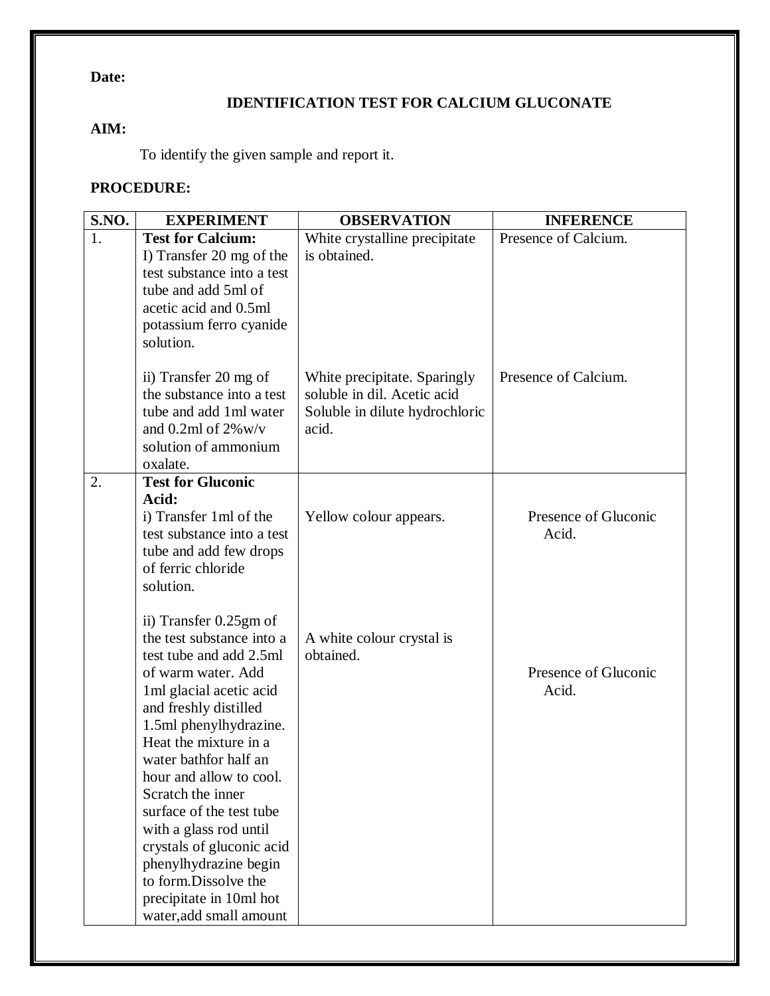### **Date:**

### **IDENTIFICATION TEST FOR CALCIUM GLUCONATE**

### **AIM:**

To identify the given sample and report it.

### **PROCEDURE:**

| S.NO. | <b>EXPERIMENT</b>                                                                                                                                                                                                                                                                                                                                                                                                                                                               | <b>OBSERVATION</b>                                                                                     | <b>INFERENCE</b>              |
|-------|---------------------------------------------------------------------------------------------------------------------------------------------------------------------------------------------------------------------------------------------------------------------------------------------------------------------------------------------------------------------------------------------------------------------------------------------------------------------------------|--------------------------------------------------------------------------------------------------------|-------------------------------|
| 1.    | <b>Test for Calcium:</b><br>I) Transfer 20 mg of the<br>test substance into a test<br>tube and add 5ml of<br>acetic acid and 0.5ml<br>potassium ferro cyanide<br>solution.                                                                                                                                                                                                                                                                                                      | White crystalline precipitate<br>is obtained.                                                          | Presence of Calcium.          |
|       | ii) Transfer 20 mg of<br>the substance into a test<br>tube and add 1ml water<br>and 0.2ml of $2\%$ w/v<br>solution of ammonium<br>oxalate.                                                                                                                                                                                                                                                                                                                                      | White precipitate. Sparingly<br>soluble in dil. Acetic acid<br>Soluble in dilute hydrochloric<br>acid. | Presence of Calcium.          |
| 2.    | <b>Test for Gluconic</b><br>Acid:<br>i) Transfer 1 ml of the<br>test substance into a test<br>tube and add few drops<br>of ferric chloride<br>solution.                                                                                                                                                                                                                                                                                                                         | Yellow colour appears.                                                                                 | Presence of Gluconic<br>Acid. |
|       | ii) Transfer 0.25gm of<br>the test substance into a<br>test tube and add 2.5ml<br>of warm water. Add<br>1 ml glacial acetic acid<br>and freshly distilled<br>1.5ml phenylhydrazine.<br>Heat the mixture in a<br>water bathfor half an<br>hour and allow to cool.<br>Scratch the inner<br>surface of the test tube<br>with a glass rod until<br>crystals of gluconic acid<br>phenylhydrazine begin<br>to form.Dissolve the<br>precipitate in 10ml hot<br>water, add small amount | A white colour crystal is<br>obtained.                                                                 | Presence of Gluconic<br>Acid. |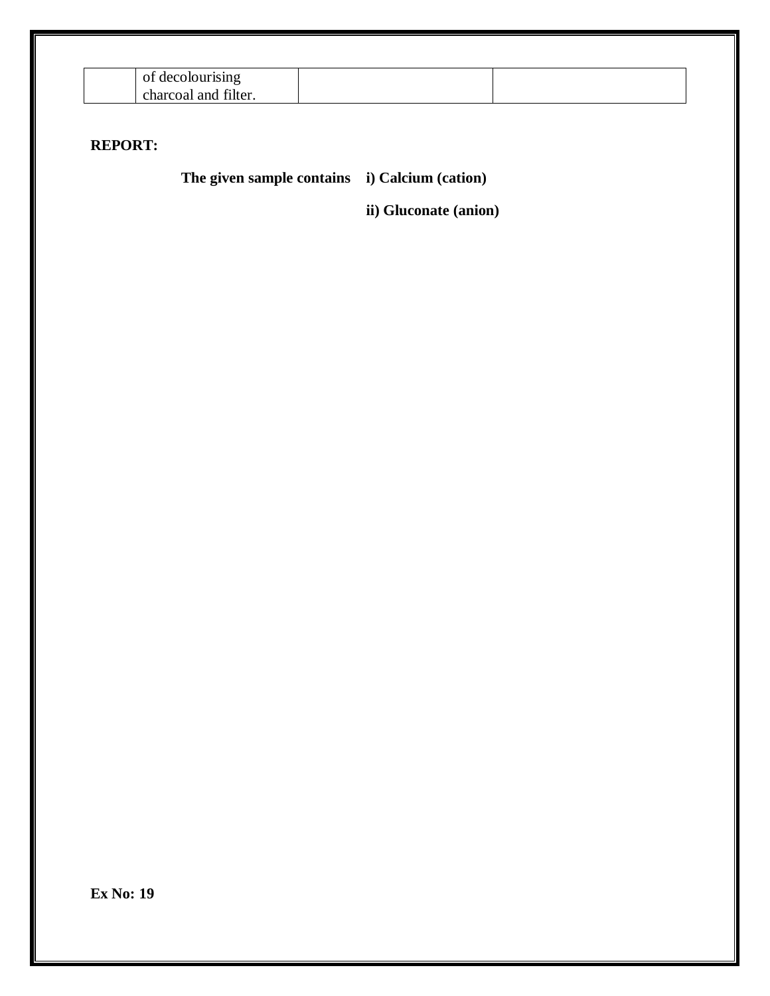| лэнтя                                |  |
|--------------------------------------|--|
| $\sim$<br>and<br>charcoal<br>filter. |  |

### **REPORT:**

 **The given sample contains i) Calcium (cation)**

**ii) Gluconate (anion)**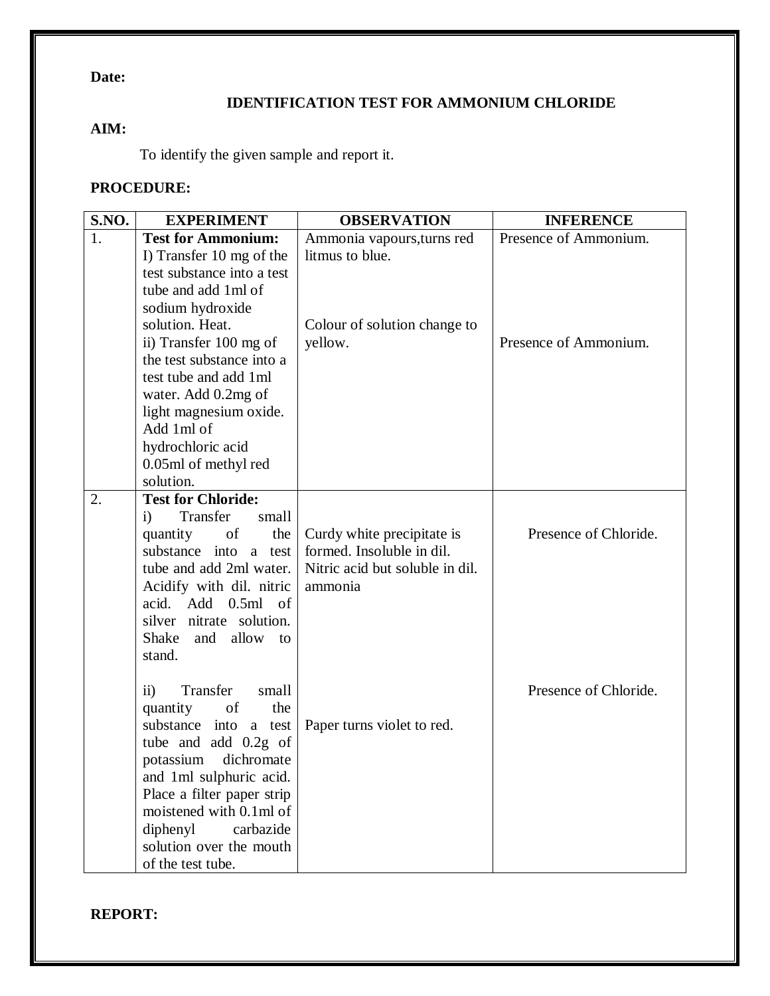### **Date:**

### **IDENTIFICATION TEST FOR AMMONIUM CHLORIDE**

### **AIM:**

To identify the given sample and report it.

### **PROCEDURE:**

| S.NO. | <b>EXPERIMENT</b>                    | <b>OBSERVATION</b>              | <b>INFERENCE</b>      |
|-------|--------------------------------------|---------------------------------|-----------------------|
| 1.    | <b>Test for Ammonium:</b>            | Ammonia vapours, turns red      | Presence of Ammonium. |
|       | I) Transfer 10 mg of the             | litmus to blue.                 |                       |
|       | test substance into a test           |                                 |                       |
|       | tube and add 1ml of                  |                                 |                       |
|       | sodium hydroxide                     |                                 |                       |
|       | solution. Heat.                      | Colour of solution change to    |                       |
|       | ii) Transfer 100 mg of               | yellow.                         | Presence of Ammonium. |
|       | the test substance into a            |                                 |                       |
|       | test tube and add 1ml                |                                 |                       |
|       | water. Add 0.2mg of                  |                                 |                       |
|       | light magnesium oxide.               |                                 |                       |
|       | Add 1ml of                           |                                 |                       |
|       | hydrochloric acid                    |                                 |                       |
|       | 0.05ml of methyl red<br>solution.    |                                 |                       |
| 2.    | <b>Test for Chloride:</b>            |                                 |                       |
|       | Transfer<br>small<br>$\ddot{1}$      |                                 |                       |
|       | of<br>the<br>quantity                | Curdy white precipitate is      | Presence of Chloride. |
|       | substance into a test                | formed. Insoluble in dil.       |                       |
|       | tube and add 2ml water.              | Nitric acid but soluble in dil. |                       |
|       | Acidify with dil. nitric             | ammonia                         |                       |
|       | acid.<br>Add<br>0.5ml<br>of          |                                 |                       |
|       | silver nitrate solution.             |                                 |                       |
|       | allow to<br>Shake and                |                                 |                       |
|       | stand.                               |                                 |                       |
|       |                                      |                                 |                       |
|       | Transfer<br>$\overline{11}$<br>small |                                 | Presence of Chloride. |
|       | quantity<br>of<br>the                |                                 |                       |
|       | substance into a test                | Paper turns violet to red.      |                       |
|       | tube and add 0.2g of                 |                                 |                       |
|       | dichromate<br>potassium              |                                 |                       |
|       | and 1ml sulphuric acid.              |                                 |                       |
|       | Place a filter paper strip           |                                 |                       |
|       | moistened with 0.1ml of              |                                 |                       |
|       | diphenyl<br>carbazide                |                                 |                       |
|       | solution over the mouth              |                                 |                       |
|       | of the test tube.                    |                                 |                       |

**REPORT:**